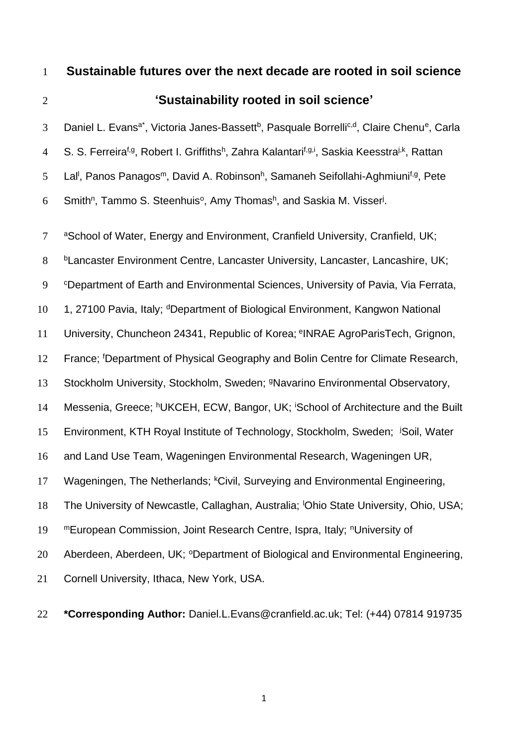1 **Sustainable futures over the next decade are rooted in soil science**

### 2 **'Sustainability rooted in soil science'**

3 Daniel L. Evans<sup>a\*</sup>, Victoria Janes-Bassett<sup>b</sup>, Pasquale Borrelli<sup>c,d</sup>, Claire Chenu<sup>e</sup>, Carla 4 S. S. Ferreira<sup>f,g</sup>, Robert I. Griffiths<sup>h</sup>, Zahra Kalantari<sup>f,g,i</sup>, Saskia Keesstra<sup>j,k</sup>, Rattan 5 Lal<sup>l</sup>, Panos Panagos<sup>m</sup>, David A. Robinson<sup>h</sup>, Samaneh Seifollahi-Aghmiuni<sup>f,g</sup>, Pete 6 Smith<sup>n</sup>, Tammo S. Steenhuis<sup>o</sup>, Amy Thomash, and Saskia M. Visser<sup>j</sup>.

7 aSchool of Water, Energy and Environment, Cranfield University, Cranfield, UK; 8 b Lancaster Environment Centre, Lancaster University, Lancaster, Lancashire, UK; 9 <sup>c</sup>Department of Earth and Environmental Sciences, University of Pavia, Via Ferrata, 10 1, 27100 Pavia, Italy; <sup>d</sup>Department of Biological Environment, Kangwon National 11 University, Chuncheon 24341, Republic of Korea; <sup>e</sup>INRAE AgroParisTech, Grignon, 12 France; <sup>f</sup>Department of Physical Geography and Bolin Centre for Climate Research, 13 Stockholm University, Stockholm, Sweden; <sup>9</sup>Navarino Environmental Observatory, 14 Messenia, Greece; hUKCEH, ECW, Bangor, UK; <sup>i</sup>School of Architecture and the Built 15 Environment, KTH Royal Institute of Technology, Stockholm, Sweden; <sup>j</sup>Soil, Water 16 and Land Use Team, Wageningen Environmental Research, Wageningen UR, 17 Wageningen, The Netherlands; <sup>k</sup>Civil, Surveying and Environmental Engineering, 18 The University of Newcastle, Callaghan, Australia; <sup>I</sup>Ohio State University, Ohio, USA; 19 mEuropean Commission, Joint Research Centre, Ispra, Italy; nUniversity of 20 Aberdeen, Aberdeen, UK; <sup>o</sup>Department of Biological and Environmental Engineering, 21 Cornell University, Ithaca, New York, USA.

22 **\*Corresponding Author:** Daniel.L.Evans@cranfield.ac.uk; Tel: (+44) 07814 919735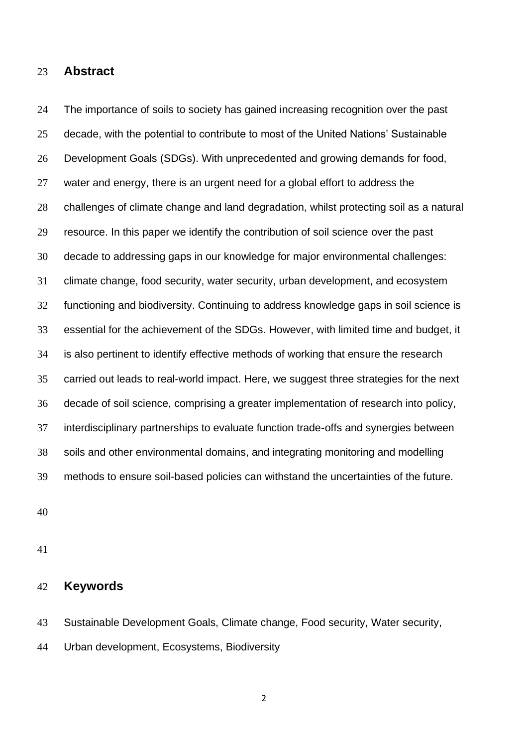### **Abstract**

 The importance of soils to society has gained increasing recognition over the past decade, with the potential to contribute to most of the United Nations' Sustainable Development Goals (SDGs). With unprecedented and growing demands for food, water and energy, there is an urgent need for a global effort to address the challenges of climate change and land degradation, whilst protecting soil as a natural resource. In this paper we identify the contribution of soil science over the past decade to addressing gaps in our knowledge for major environmental challenges: climate change, food security, water security, urban development, and ecosystem functioning and biodiversity. Continuing to address knowledge gaps in soil science is essential for the achievement of the SDGs. However, with limited time and budget, it is also pertinent to identify effective methods of working that ensure the research carried out leads to real-world impact. Here, we suggest three strategies for the next decade of soil science, comprising a greater implementation of research into policy, interdisciplinary partnerships to evaluate function trade-offs and synergies between soils and other environmental domains, and integrating monitoring and modelling methods to ensure soil-based policies can withstand the uncertainties of the future.

### **Keywords**

- Sustainable Development Goals, Climate change, Food security, Water security,
- Urban development, Ecosystems, Biodiversity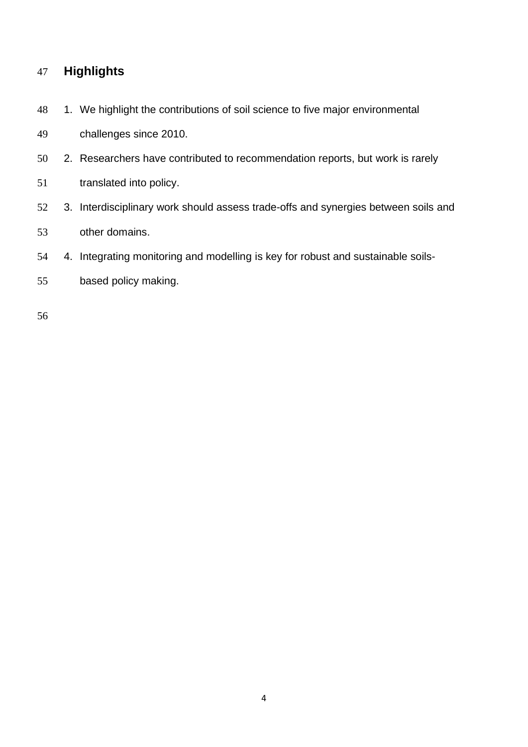### **Highlights**

48 1. We highlight the contributions of soil science to five major environmental

challenges since 2010.

- 2. Researchers have contributed to recommendation reports, but work is rarely
- translated into policy.
- 3. Interdisciplinary work should assess trade-offs and synergies between soils and other domains.
- 4. Integrating monitoring and modelling is key for robust and sustainable soils-
- based policy making.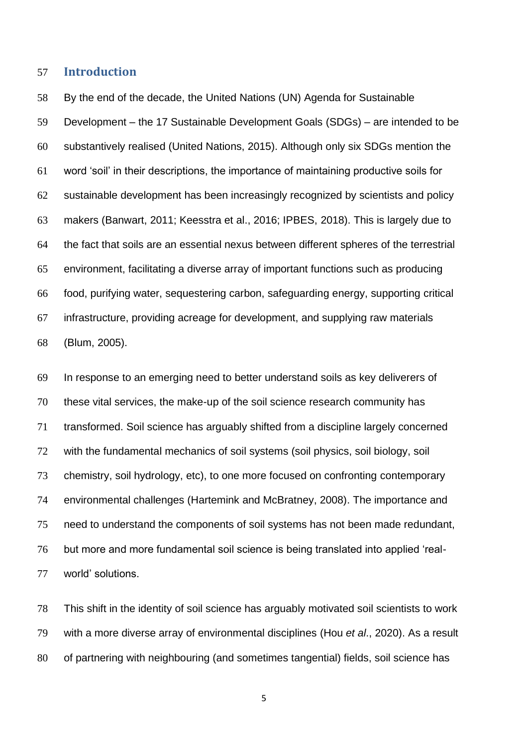### **Introduction**

 By the end of the decade, the United Nations (UN) Agenda for Sustainable Development – the 17 Sustainable Development Goals (SDGs) – are intended to be substantively realised (United Nations, 2015). Although only six SDGs mention the word 'soil' in their descriptions, the importance of maintaining productive soils for sustainable development has been increasingly recognized by scientists and policy makers (Banwart, 2011; Keesstra et al., 2016; IPBES, 2018). This is largely due to the fact that soils are an essential nexus between different spheres of the terrestrial environment, facilitating a diverse array of important functions such as producing food, purifying water, sequestering carbon, safeguarding energy, supporting critical infrastructure, providing acreage for development, and supplying raw materials (Blum, 2005).

 In response to an emerging need to better understand soils as key deliverers of these vital services, the make-up of the soil science research community has transformed. Soil science has arguably shifted from a discipline largely concerned with the fundamental mechanics of soil systems (soil physics, soil biology, soil chemistry, soil hydrology, etc), to one more focused on confronting contemporary environmental challenges (Hartemink and McBratney, 2008). The importance and need to understand the components of soil systems has not been made redundant, but more and more fundamental soil science is being translated into applied 'real-world' solutions.

 This shift in the identity of soil science has arguably motivated soil scientists to work with a more diverse array of environmental disciplines (Hou *et al*., 2020). As a result of partnering with neighbouring (and sometimes tangential) fields, soil science has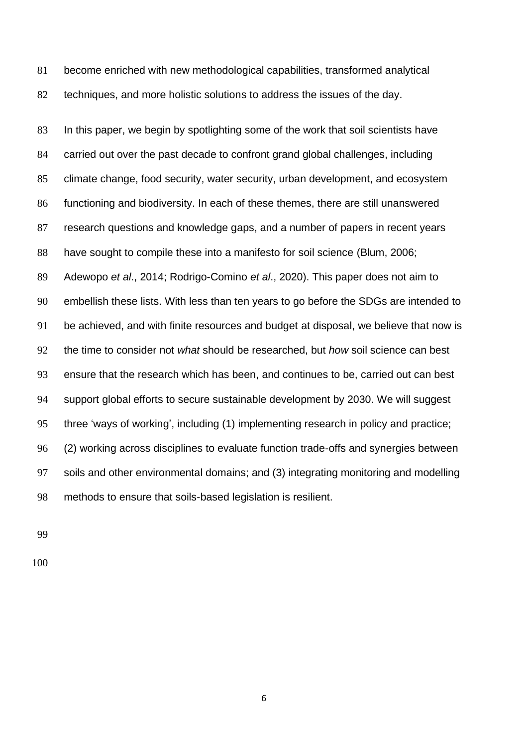become enriched with new methodological capabilities, transformed analytical techniques, and more holistic solutions to address the issues of the day.

 In this paper, we begin by spotlighting some of the work that soil scientists have carried out over the past decade to confront grand global challenges, including climate change, food security, water security, urban development, and ecosystem functioning and biodiversity. In each of these themes, there are still unanswered research questions and knowledge gaps, and a number of papers in recent years have sought to compile these into a manifesto for soil science (Blum, 2006; Adewopo *et al*., 2014; Rodrigo-Comino *et al*., 2020). This paper does not aim to embellish these lists. With less than ten years to go before the SDGs are intended to be achieved, and with finite resources and budget at disposal, we believe that now is the time to consider not *what* should be researched, but *how* soil science can best ensure that the research which has been, and continues to be, carried out can best support global efforts to secure sustainable development by 2030. We will suggest three 'ways of working', including (1) implementing research in policy and practice; (2) working across disciplines to evaluate function trade-offs and synergies between soils and other environmental domains; and (3) integrating monitoring and modelling methods to ensure that soils-based legislation is resilient.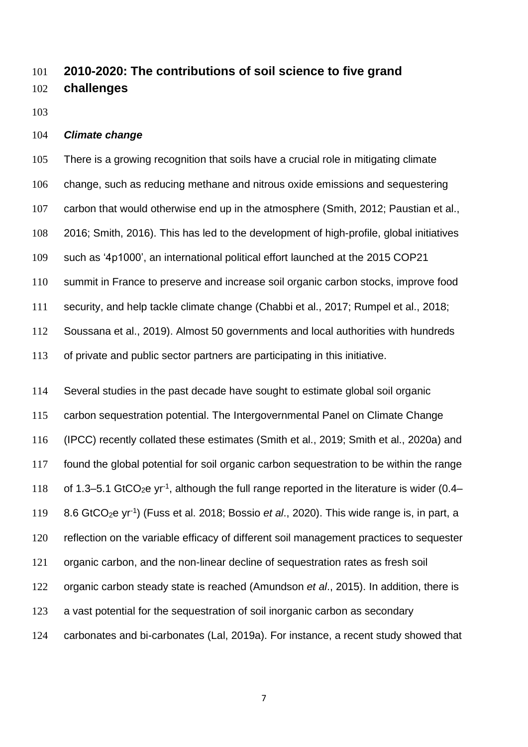## **2010-2020: The contributions of soil science to five grand challenges**

### *Climate change*

 There is a growing recognition that soils have a crucial role in mitigating climate change, such as reducing methane and nitrous oxide emissions and sequestering carbon that would otherwise end up in the atmosphere (Smith, 2012; Paustian et al., 2016; Smith, 2016). This has led to the development of high-profile, global initiatives such as '4p1000', an international political effort launched at the 2015 COP21 summit in France to preserve and increase soil organic carbon stocks, improve food security, and help tackle climate change (Chabbi et al., 2017; Rumpel et al., 2018; Soussana et al., 2019). Almost 50 governments and local authorities with hundreds of private and public sector partners are participating in this initiative.

 Several studies in the past decade have sought to estimate global soil organic carbon sequestration potential. The Intergovernmental Panel on Climate Change (IPCC) recently collated these estimates (Smith et al., 2019; Smith et al., 2020a) and found the global potential for soil organic carbon sequestration to be within the range 118 of 1.3–5.1 GtCO<sub>2</sub>e yr<sup>-1</sup>, although the full range reported in the literature is wider (0.4– 119 8.6 GtCO<sub>2</sub>e yr<sup>-1</sup>) (Fuss et al. 2018; Bossio *et al.*, 2020). This wide range is, in part, a reflection on the variable efficacy of different soil management practices to sequester organic carbon, and the non-linear decline of sequestration rates as fresh soil organic carbon steady state is reached (Amundson *et al*., 2015). In addition, there is a vast potential for the sequestration of soil inorganic carbon as secondary carbonates and bi-carbonates (Lal, 2019a). For instance, a recent study showed that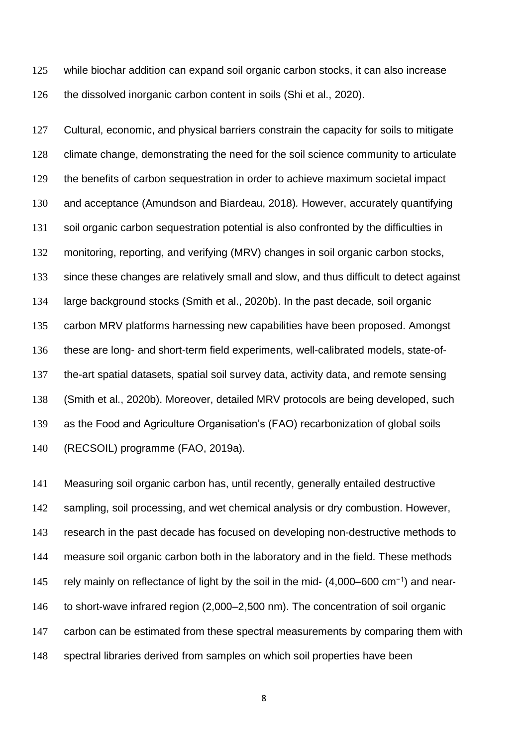while biochar addition can expand soil organic carbon stocks, it can also increase the dissolved inorganic carbon content in soils (Shi et al., 2020).

 Cultural, economic, and physical barriers constrain the capacity for soils to mitigate climate change, demonstrating the need for the soil science community to articulate the benefits of carbon sequestration in order to achieve maximum societal impact and acceptance (Amundson and Biardeau, 2018)*.* However, accurately quantifying soil organic carbon sequestration potential is also confronted by the difficulties in monitoring, reporting, and verifying (MRV) changes in soil organic carbon stocks, since these changes are relatively small and slow, and thus difficult to detect against large background stocks (Smith et al., 2020b). In the past decade, soil organic carbon MRV platforms harnessing new capabilities have been proposed. Amongst these are long- and short-term field experiments, well-calibrated models, state-of- the-art spatial datasets, spatial soil survey data, activity data, and remote sensing (Smith et al., 2020b). Moreover, detailed MRV protocols are being developed, such as the Food and Agriculture Organisation's (FAO) recarbonization of global soils (RECSOIL) programme (FAO, 2019a)*.* 

 Measuring soil organic carbon has, until recently, generally entailed destructive sampling, soil processing, and wet chemical analysis or dry combustion. However, research in the past decade has focused on developing non-destructive methods to measure soil organic carbon both in the laboratory and in the field. These methods 145 rely mainly on reflectance of light by the soil in the mid- (4,000–600 cm<sup>-1</sup>) and near-146 to short-wave infrared region (2,000–2,500 nm). The concentration of soil organic 147 carbon can be estimated from these spectral measurements by comparing them with spectral libraries derived from samples on which soil properties have been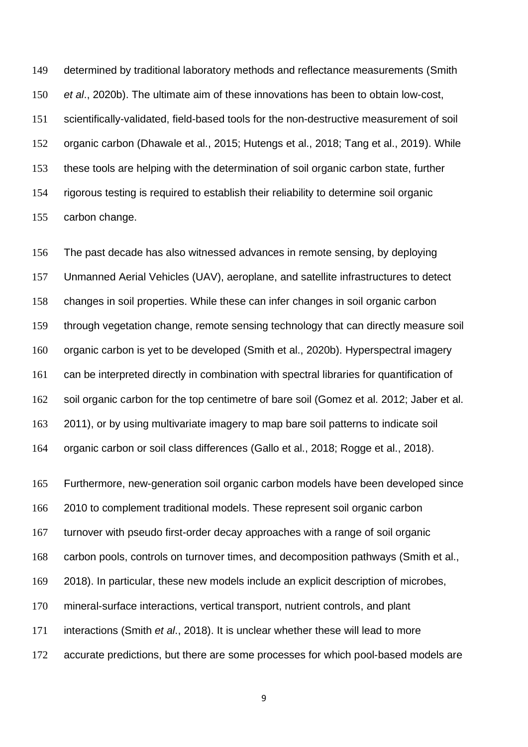determined by traditional laboratory methods and reflectance measurements (Smith *et al*., 2020b). The ultimate aim of these innovations has been to obtain low-cost, scientifically-validated, field-based tools for the non-destructive measurement of soil organic carbon (Dhawale et al., 2015; Hutengs et al., 2018; Tang et al., 2019). While these tools are helping with the determination of soil organic carbon state, further rigorous testing is required to establish their reliability to determine soil organic carbon change.

 The past decade has also witnessed advances in remote sensing, by deploying Unmanned Aerial Vehicles (UAV), aeroplane, and satellite infrastructures to detect changes in soil properties. While these can infer changes in soil organic carbon through vegetation change, remote sensing technology that can directly measure soil organic carbon is yet to be developed (Smith et al., 2020b). Hyperspectral imagery can be interpreted directly in combination with spectral libraries for quantification of soil organic carbon for the top centimetre of bare soil (Gomez et al. 2012; Jaber et al. 2011), or by using multivariate imagery to map bare soil patterns to indicate soil organic carbon or soil class differences (Gallo et al., 2018; Rogge et al., 2018).

 Furthermore, new-generation soil organic carbon models have been developed since 2010 to complement traditional models. These represent soil organic carbon turnover with pseudo first-order decay approaches with a range of soil organic carbon pools, controls on turnover times, and decomposition pathways (Smith et al., 2018). In particular, these new models include an explicit description of microbes, mineral-surface interactions, vertical transport, nutrient controls, and plant interactions (Smith *et al*., 2018). It is unclear whether these will lead to more 172 accurate predictions, but there are some processes for which pool-based models are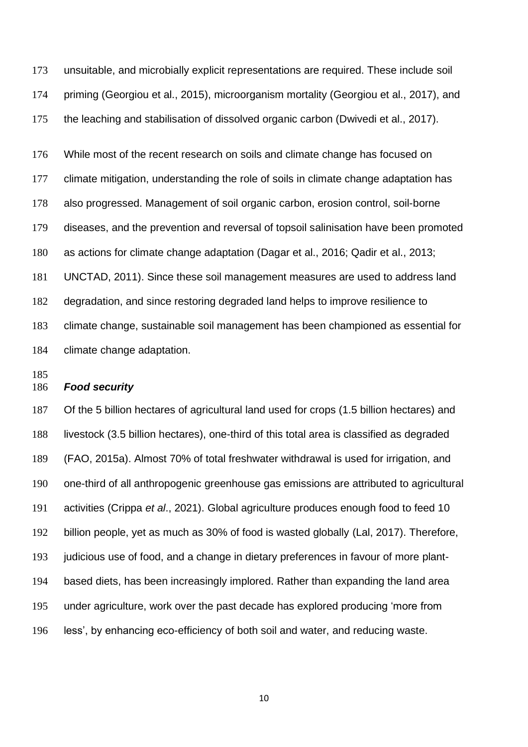unsuitable, and microbially explicit representations are required. These include soil priming (Georgiou et al., 2015), microorganism mortality (Georgiou et al., 2017), and the leaching and stabilisation of dissolved organic carbon (Dwivedi et al., 2017).

 While most of the recent research on soils and climate change has focused on climate mitigation, understanding the role of soils in climate change adaptation has also progressed. Management of soil organic carbon, erosion control, soil-borne diseases, and the prevention and reversal of topsoil salinisation have been promoted as actions for climate change adaptation (Dagar et al., 2016; Qadir et al., 2013; UNCTAD, 2011). Since these soil management measures are used to address land degradation, and since restoring degraded land helps to improve resilience to climate change, sustainable soil management has been championed as essential for climate change adaptation.

### *Food security*

 Of the 5 billion hectares of agricultural land used for crops (1.5 billion hectares) and livestock (3.5 billion hectares), one-third of this total area is classified as degraded (FAO, 2015a). Almost 70% of total freshwater withdrawal is used for irrigation, and one-third of all anthropogenic greenhouse gas emissions are attributed to agricultural activities (Crippa *et al*., 2021). Global agriculture produces enough food to feed 10 billion people, yet as much as 30% of food is wasted globally (Lal, 2017). Therefore, judicious use of food, and a change in dietary preferences in favour of more plant- based diets, has been increasingly implored. Rather than expanding the land area under agriculture, work over the past decade has explored producing 'more from less', by enhancing eco-efficiency of both soil and water, and reducing waste.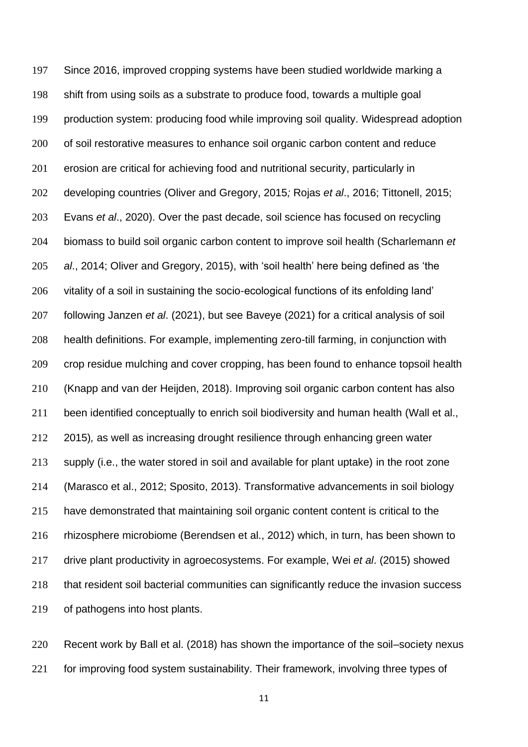Since 2016, improved cropping systems have been studied worldwide marking a shift from using soils as a substrate to produce food, towards a multiple goal production system: producing food while improving soil quality. Widespread adoption 200 of soil restorative measures to enhance soil organic carbon content and reduce erosion are critical for achieving food and nutritional security, particularly in developing countries (Oliver and Gregory, 2015*;* Rojas *et al*., 2016; Tittonell, 2015; Evans *et al*., 2020). Over the past decade, soil science has focused on recycling biomass to build soil organic carbon content to improve soil health (Scharlemann *et al*., 2014; Oliver and Gregory, 2015), with 'soil health' here being defined as 'the vitality of a soil in sustaining the socio-ecological functions of its enfolding land' following Janzen *et al*. (2021), but see Baveye (2021) for a critical analysis of soil health definitions. For example, implementing zero-till farming, in conjunction with crop residue mulching and cover cropping, has been found to enhance topsoil health (Knapp and van der Heijden, 2018). Improving soil organic carbon content has also been identified conceptually to enrich soil biodiversity and human health (Wall et al., 2015)*,* as well as increasing drought resilience through enhancing green water supply (i.e., the water stored in soil and available for plant uptake) in the root zone (Marasco et al., 2012; Sposito, 2013). Transformative advancements in soil biology have demonstrated that maintaining soil organic content content is critical to the rhizosphere microbiome (Berendsen et al., 2012) which, in turn, has been shown to drive plant productivity in agroecosystems. For example, Wei *et al*. (2015) showed that resident soil bacterial communities can significantly reduce the invasion success of pathogens into host plants.

 Recent work by Ball et al. (2018) has shown the importance of the soil–society nexus 221 for improving food system sustainability. Their framework, involving three types of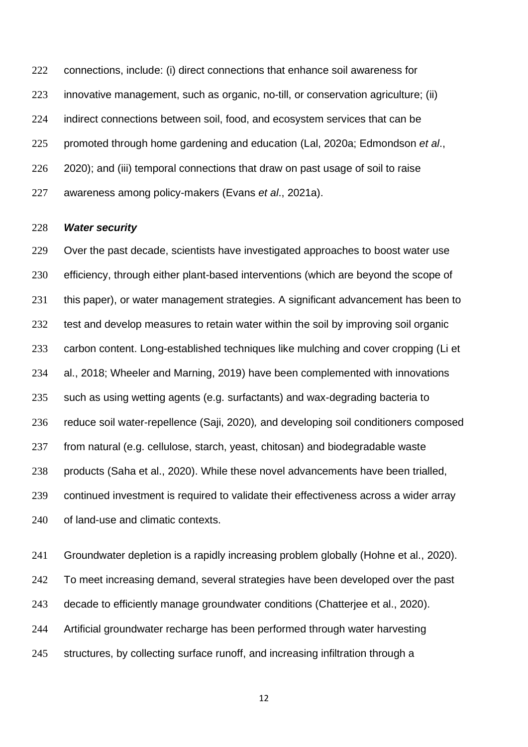connections, include: (i) direct connections that enhance soil awareness for innovative management, such as organic, no-till, or conservation agriculture; (ii) indirect connections between soil, food, and ecosystem services that can be promoted through home gardening and education (Lal, 2020a; Edmondson *et al*., 226 2020); and (iii) temporal connections that draw on past usage of soil to raise awareness among policy-makers (Evans *et al*., 2021a).

#### *Water security*

 Over the past decade, scientists have investigated approaches to boost water use efficiency, through either plant-based interventions (which are beyond the scope of 231 this paper), or water management strategies. A significant advancement has been to 232 test and develop measures to retain water within the soil by improving soil organic carbon content. Long-established techniques like mulching and cover cropping (Li et al., 2018; Wheeler and Marning, 2019) have been complemented with innovations such as using wetting agents (e.g. surfactants) and wax-degrading bacteria to reduce soil water-repellence (Saji, 2020)*,* and developing soil conditioners composed from natural (e.g. cellulose, starch, yeast, chitosan) and biodegradable waste products (Saha et al., 2020). While these novel advancements have been trialled, continued investment is required to validate their effectiveness across a wider array of land-use and climatic contexts.

 Groundwater depletion is a rapidly increasing problem globally (Hohne et al., 2020). To meet increasing demand, several strategies have been developed over the past decade to efficiently manage groundwater conditions (Chatterjee et al., 2020). Artificial groundwater recharge has been performed through water harvesting structures, by collecting surface runoff, and increasing infiltration through a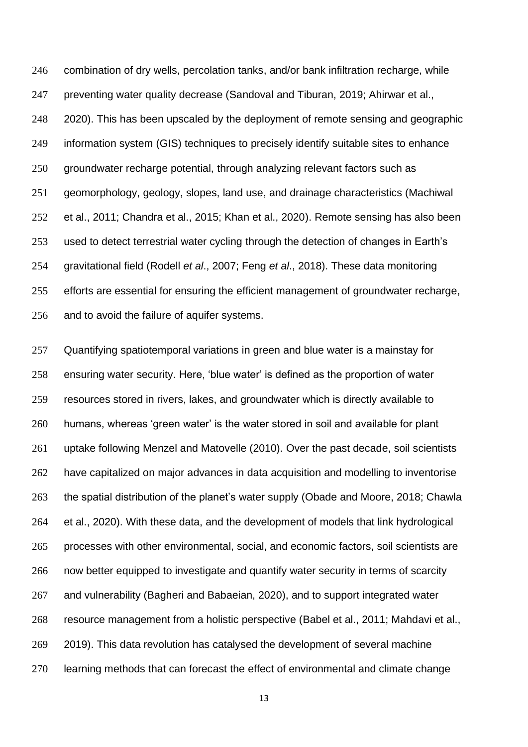combination of dry wells, percolation tanks, and/or bank infiltration recharge, while preventing water quality decrease (Sandoval and Tiburan, 2019; Ahirwar et al., 2020). This has been upscaled by the deployment of remote sensing and geographic information system (GIS) techniques to precisely identify suitable sites to enhance groundwater recharge potential, through analyzing relevant factors such as geomorphology, geology, slopes, land use, and drainage characteristics (Machiwal et al., 2011; Chandra et al., 2015; Khan et al., 2020). Remote sensing has also been used to detect terrestrial water cycling through the detection of changes in Earth's gravitational field (Rodell *et al*., 2007; Feng *et al*., 2018). These data monitoring efforts are essential for ensuring the efficient management of groundwater recharge, and to avoid the failure of aquifer systems.

 Quantifying spatiotemporal variations in green and blue water is a mainstay for ensuring water security. Here, 'blue water' is defined as the proportion of water resources stored in rivers, lakes, and groundwater which is directly available to humans, whereas 'green water' is the water stored in soil and available for plant uptake following Menzel and Matovelle (2010). Over the past decade, soil scientists have capitalized on major advances in data acquisition and modelling to inventorise the spatial distribution of the planet's water supply (Obade and Moore, 2018; Chawla et al., 2020). With these data, and the development of models that link hydrological processes with other environmental, social, and economic factors, soil scientists are now better equipped to investigate and quantify water security in terms of scarcity and vulnerability (Bagheri and Babaeian, 2020), and to support integrated water resource management from a holistic perspective (Babel et al., 2011; Mahdavi et al., 2019). This data revolution has catalysed the development of several machine learning methods that can forecast the effect of environmental and climate change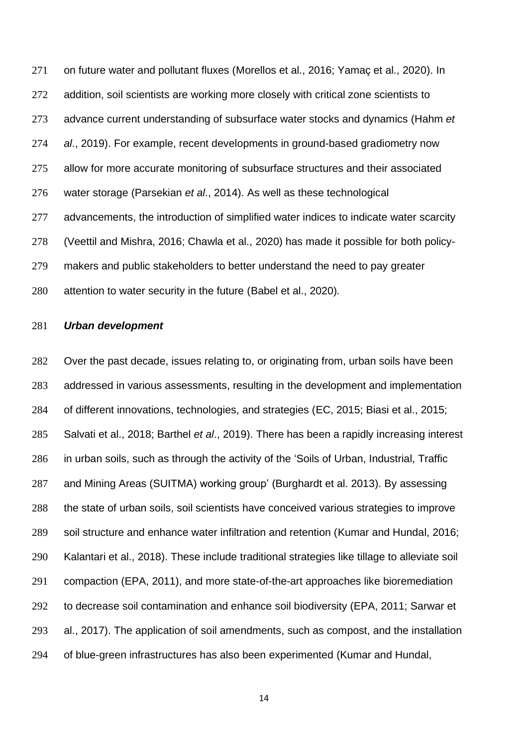on future water and pollutant fluxes (Morellos et al., 2016; Yamaç et al., 2020). In 272 addition, soil scientists are working more closely with critical zone scientists to advance current understanding of subsurface water stocks and dynamics (Hahm *et al*., 2019). For example, recent developments in ground-based gradiometry now allow for more accurate monitoring of subsurface structures and their associated water storage (Parsekian *et al*., 2014). As well as these technological 277 advancements, the introduction of simplified water indices to indicate water scarcity (Veettil and Mishra, 2016; Chawla et al., 2020) has made it possible for both policy- makers and public stakeholders to better understand the need to pay greater attention to water security in the future (Babel et al., 2020)*.*

#### *Urban development*

 Over the past decade, issues relating to, or originating from, urban soils have been addressed in various assessments, resulting in the development and implementation of different innovations, technologies, and strategies (EC, 2015; Biasi et al., 2015; Salvati et al., 2018; Barthel *et al*., 2019). There has been a rapidly increasing interest in urban soils, such as through the activity of the 'Soils of Urban, Industrial, Traffic and Mining Areas (SUITMA) working group' (Burghardt et al. 2013). By assessing the state of urban soils, soil scientists have conceived various strategies to improve soil structure and enhance water infiltration and retention (Kumar and Hundal, 2016; Kalantari et al., 2018). These include traditional strategies like tillage to alleviate soil compaction (EPA, 2011), and more state-of-the-art approaches like bioremediation to decrease soil contamination and enhance soil biodiversity (EPA, 2011; Sarwar et al., 2017). The application of soil amendments, such as compost, and the installation of blue-green infrastructures has also been experimented (Kumar and Hundal,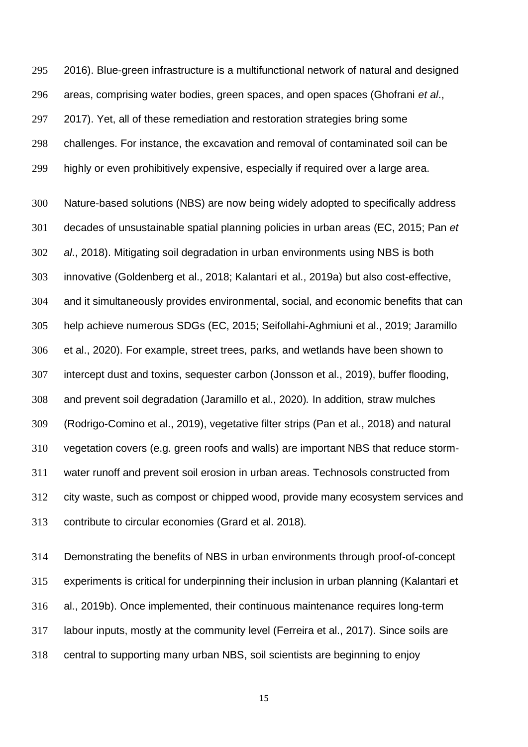2016). Blue-green infrastructure is a multifunctional network of natural and designed areas, comprising water bodies, green spaces, and open spaces (Ghofrani *et al*., 2017). Yet, all of these remediation and restoration strategies bring some challenges. For instance, the excavation and removal of contaminated soil can be highly or even prohibitively expensive, especially if required over a large area.

 Nature-based solutions (NBS) are now being widely adopted to specifically address decades of unsustainable spatial planning policies in urban areas (EC, 2015; Pan *et al*., 2018). Mitigating soil degradation in urban environments using NBS is both innovative (Goldenberg et al., 2018; Kalantari et al., 2019a) but also cost-effective, and it simultaneously provides environmental, social, and economic benefits that can help achieve numerous SDGs (EC, 2015; Seifollahi-Aghmiuni et al., 2019; Jaramillo et al., 2020). For example, street trees, parks, and wetlands have been shown to intercept dust and toxins, sequester carbon (Jonsson et al., 2019), buffer flooding, and prevent soil degradation (Jaramillo et al., 2020)*.* In addition, straw mulches (Rodrigo-Comino et al., 2019), vegetative filter strips (Pan et al., 2018) and natural vegetation covers (e.g. green roofs and walls) are important NBS that reduce storm- water runoff and prevent soil erosion in urban areas. Technosols constructed from city waste, such as compost or chipped wood, provide many ecosystem services and contribute to circular economies (Grard et al. 2018)*.*

 Demonstrating the benefits of NBS in urban environments through proof-of-concept experiments is critical for underpinning their inclusion in urban planning (Kalantari et al., 2019b). Once implemented, their continuous maintenance requires long-term labour inputs, mostly at the community level (Ferreira et al., 2017). Since soils are central to supporting many urban NBS, soil scientists are beginning to enjoy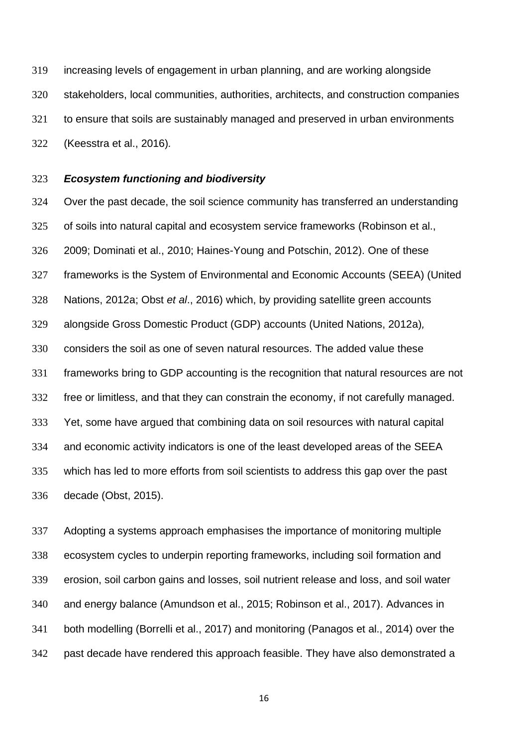increasing levels of engagement in urban planning, and are working alongside stakeholders, local communities, authorities, architects, and construction companies to ensure that soils are sustainably managed and preserved in urban environments (Keesstra et al., 2016)*.* 

#### *Ecosystem functioning and biodiversity*

 Over the past decade, the soil science community has transferred an understanding of soils into natural capital and ecosystem service frameworks (Robinson et al., 2009; Dominati et al., 2010; Haines-Young and Potschin, 2012). One of these frameworks is the System of Environmental and Economic Accounts (SEEA) (United Nations, 2012a; Obst *et al*., 2016) which, by providing satellite green accounts alongside Gross Domestic Product (GDP) accounts (United Nations, 2012a)*,* considers the soil as one of seven natural resources. The added value these frameworks bring to GDP accounting is the recognition that natural resources are not free or limitless, and that they can constrain the economy, if not carefully managed. Yet, some have argued that combining data on soil resources with natural capital and economic activity indicators is one of the least developed areas of the SEEA which has led to more efforts from soil scientists to address this gap over the past decade (Obst, 2015).

 Adopting a systems approach emphasises the importance of monitoring multiple ecosystem cycles to underpin reporting frameworks, including soil formation and erosion, soil carbon gains and losses, soil nutrient release and loss, and soil water and energy balance (Amundson et al., 2015; Robinson et al., 2017). Advances in both modelling (Borrelli et al., 2017) and monitoring (Panagos et al., 2014) over the past decade have rendered this approach feasible. They have also demonstrated a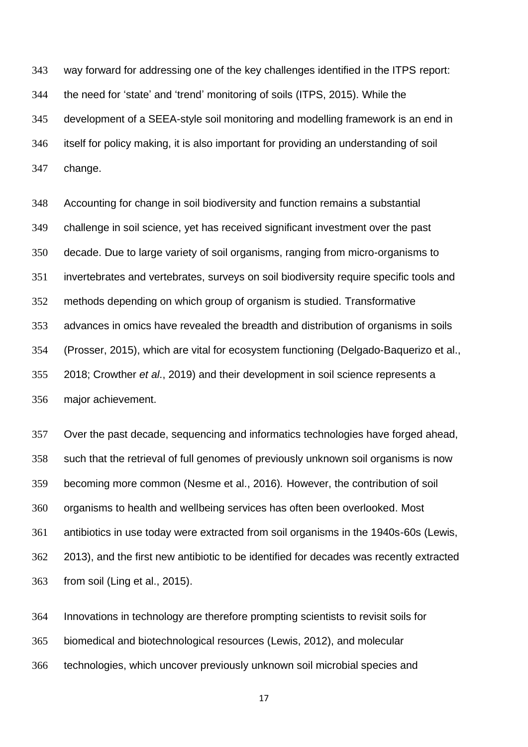way forward for addressing one of the key challenges identified in the ITPS report: the need for 'state' and 'trend' monitoring of soils (ITPS, 2015). While the development of a SEEA-style soil monitoring and modelling framework is an end in itself for policy making, it is also important for providing an understanding of soil change.

 Accounting for change in soil biodiversity and function remains a substantial challenge in soil science, yet has received significant investment over the past decade. Due to large variety of soil organisms, ranging from micro-organisms to invertebrates and vertebrates, surveys on soil biodiversity require specific tools and methods depending on which group of organism is studied. Transformative advances in omics have revealed the breadth and distribution of organisms in soils (Prosser, 2015), which are vital for ecosystem functioning (Delgado-Baquerizo et al., 2018; Crowther *et al*., 2019) and their development in soil science represents a major achievement.

 Over the past decade, sequencing and informatics technologies have forged ahead, such that the retrieval of full genomes of previously unknown soil organisms is now becoming more common (Nesme et al., 2016)*.* However, the contribution of soil organisms to health and wellbeing services has often been overlooked. Most antibiotics in use today were extracted from soil organisms in the 1940s-60s (Lewis, 2013), and the first new antibiotic to be identified for decades was recently extracted from soil (Ling et al., 2015).

 Innovations in technology are therefore prompting scientists to revisit soils for biomedical and biotechnological resources (Lewis, 2012), and molecular technologies, which uncover previously unknown soil microbial species and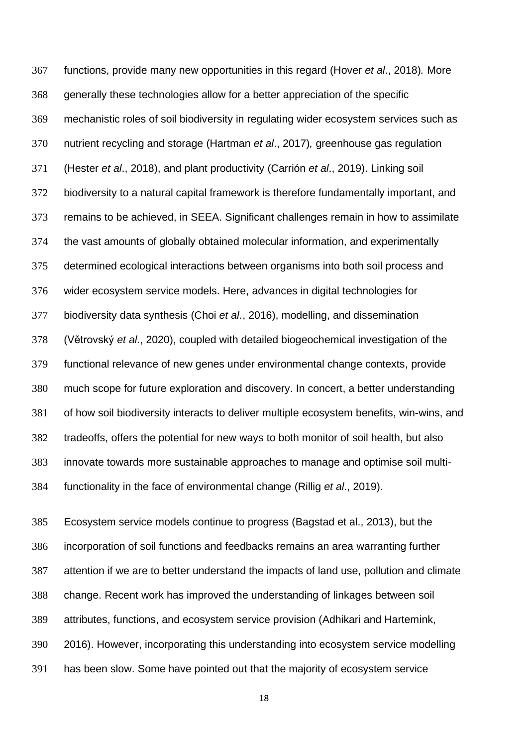functions, provide many new opportunities in this regard (Hover *et al*., 2018)*.* More generally these technologies allow for a better appreciation of the specific mechanistic roles of soil biodiversity in regulating wider ecosystem services such as nutrient recycling and storage (Hartman *et al*., 2017)*,* greenhouse gas regulation (Hester *et al*., 2018), and plant productivity (Carrión *et al*., 2019). Linking soil biodiversity to a natural capital framework is therefore fundamentally important, and remains to be achieved, in SEEA. Significant challenges remain in how to assimilate the vast amounts of globally obtained molecular information, and experimentally determined ecological interactions between organisms into both soil process and wider ecosystem service models. Here, advances in digital technologies for biodiversity data synthesis (Choi *et al*., 2016), modelling, and dissemination (Větrovský *et al*., 2020), coupled with detailed biogeochemical investigation of the functional relevance of new genes under environmental change contexts, provide much scope for future exploration and discovery. In concert, a better understanding of how soil biodiversity interacts to deliver multiple ecosystem benefits, win-wins, and tradeoffs, offers the potential for new ways to both monitor of soil health, but also innovate towards more sustainable approaches to manage and optimise soil multi-functionality in the face of environmental change (Rillig *et al*., 2019).

 Ecosystem service models continue to progress (Bagstad et al., 2013), but the incorporation of soil functions and feedbacks remains an area warranting further attention if we are to better understand the impacts of land use, pollution and climate change. Recent work has improved the understanding of linkages between soil attributes, functions, and ecosystem service provision (Adhikari and Hartemink, 2016). However, incorporating this understanding into ecosystem service modelling has been slow. Some have pointed out that the majority of ecosystem service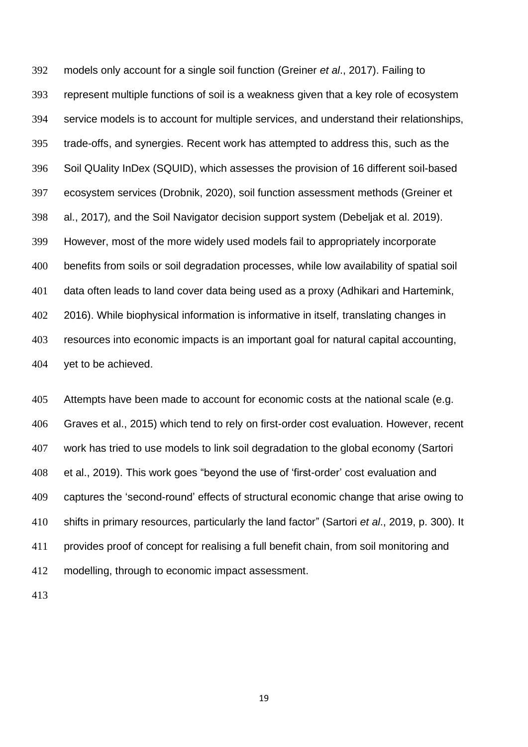models only account for a single soil function (Greiner *et al*., 2017). Failing to represent multiple functions of soil is a weakness given that a key role of ecosystem service models is to account for multiple services, and understand their relationships, trade-offs, and synergies. Recent work has attempted to address this, such as the Soil QUality InDex (SQUID), which assesses the provision of 16 different soil-based ecosystem services (Drobnik, 2020), soil function assessment methods (Greiner et al., 2017)*,* and the Soil Navigator decision support system (Debeljak et al. 2019). However, most of the more widely used models fail to appropriately incorporate benefits from soils or soil degradation processes, while low availability of spatial soil data often leads to land cover data being used as a proxy (Adhikari and Hartemink, 2016). While biophysical information is informative in itself, translating changes in resources into economic impacts is an important goal for natural capital accounting, yet to be achieved.

 Attempts have been made to account for economic costs at the national scale (e.g. Graves et al., 2015) which tend to rely on first-order cost evaluation. However, recent work has tried to use models to link soil degradation to the global economy (Sartori et al., 2019). This work goes "beyond the use of 'first-order' cost evaluation and captures the 'second-round' effects of structural economic change that arise owing to shifts in primary resources, particularly the land factor" (Sartori *et al*., 2019, p. 300). It provides proof of concept for realising a full benefit chain, from soil monitoring and modelling, through to economic impact assessment.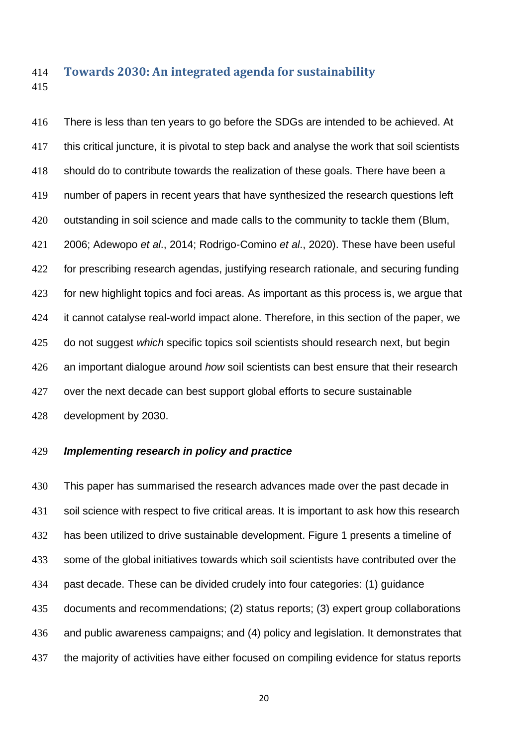### **Towards 2030: An integrated agenda for sustainability**

 There is less than ten years to go before the SDGs are intended to be achieved. At this critical juncture, it is pivotal to step back and analyse the work that soil scientists should do to contribute towards the realization of these goals. There have been a number of papers in recent years that have synthesized the research questions left outstanding in soil science and made calls to the community to tackle them (Blum, 2006; Adewopo *et al*., 2014; Rodrigo-Comino *et al*., 2020). These have been useful for prescribing research agendas, justifying research rationale, and securing funding for new highlight topics and foci areas. As important as this process is, we argue that it cannot catalyse real-world impact alone. Therefore, in this section of the paper, we do not suggest *which* specific topics soil scientists should research next, but begin an important dialogue around *how* soil scientists can best ensure that their research over the next decade can best support global efforts to secure sustainable development by 2030.

### *Implementing research in policy and practice*

 This paper has summarised the research advances made over the past decade in 431 soil science with respect to five critical areas. It is important to ask how this research 432 has been utilized to drive sustainable development. Figure 1 presents a timeline of some of the global initiatives towards which soil scientists have contributed over the past decade. These can be divided crudely into four categories: (1) guidance documents and recommendations; (2) status reports; (3) expert group collaborations and public awareness campaigns; and (4) policy and legislation. It demonstrates that the majority of activities have either focused on compiling evidence for status reports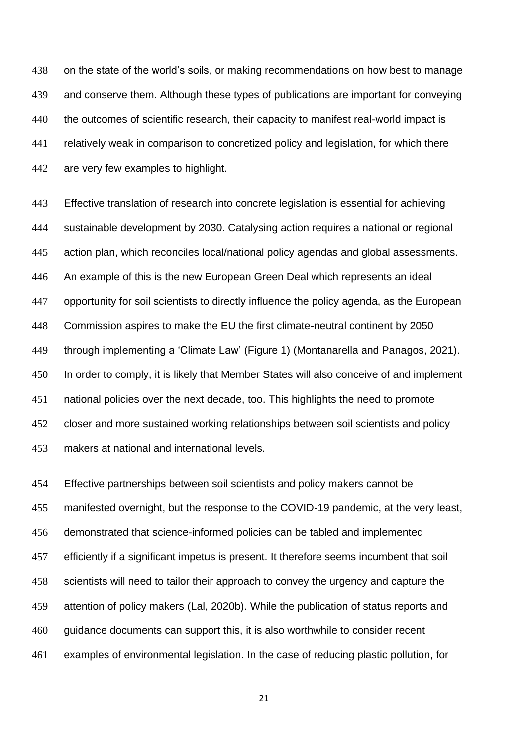on the state of the world's soils, or making recommendations on how best to manage and conserve them. Although these types of publications are important for conveying the outcomes of scientific research, their capacity to manifest real-world impact is relatively weak in comparison to concretized policy and legislation, for which there are very few examples to highlight.

 Effective translation of research into concrete legislation is essential for achieving sustainable development by 2030. Catalysing action requires a national or regional action plan, which reconciles local/national policy agendas and global assessments. An example of this is the new European Green Deal which represents an ideal opportunity for soil scientists to directly influence the policy agenda, as the European Commission aspires to make the EU the first climate-neutral continent by 2050 through implementing a 'Climate Law' (Figure 1) (Montanarella and Panagos, 2021). In order to comply, it is likely that Member States will also conceive of and implement national policies over the next decade, too. This highlights the need to promote closer and more sustained working relationships between soil scientists and policy makers at national and international levels.

 Effective partnerships between soil scientists and policy makers cannot be manifested overnight, but the response to the COVID-19 pandemic, at the very least, demonstrated that science-informed policies can be tabled and implemented efficiently if a significant impetus is present. It therefore seems incumbent that soil scientists will need to tailor their approach to convey the urgency and capture the attention of policy makers (Lal, 2020b). While the publication of status reports and guidance documents can support this, it is also worthwhile to consider recent examples of environmental legislation. In the case of reducing plastic pollution, for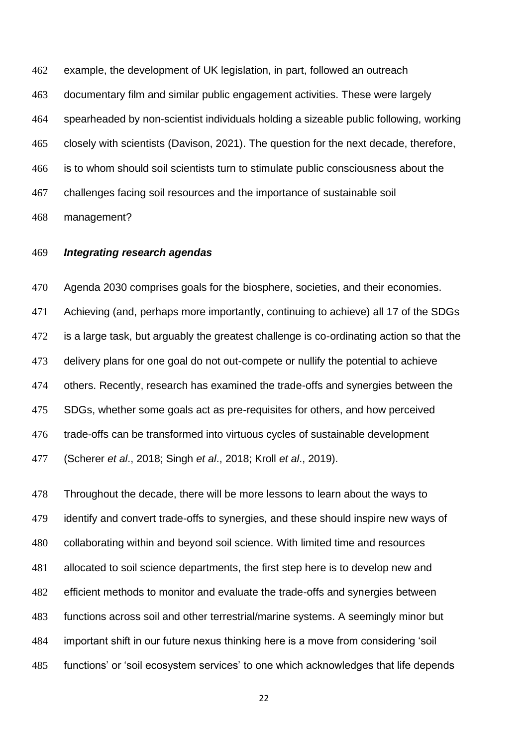example, the development of UK legislation, in part, followed an outreach documentary film and similar public engagement activities. These were largely spearheaded by non-scientist individuals holding a sizeable public following, working closely with scientists (Davison, 2021). The question for the next decade, therefore, is to whom should soil scientists turn to stimulate public consciousness about the challenges facing soil resources and the importance of sustainable soil management?

#### *Integrating research agendas*

 Agenda 2030 comprises goals for the biosphere, societies, and their economies. Achieving (and, perhaps more importantly, continuing to achieve) all 17 of the SDGs is a large task, but arguably the greatest challenge is co-ordinating action so that the delivery plans for one goal do not out-compete or nullify the potential to achieve others. Recently, research has examined the trade-offs and synergies between the SDGs, whether some goals act as pre-requisites for others, and how perceived trade-offs can be transformed into virtuous cycles of sustainable development (Scherer *et al*., 2018; Singh *et al*., 2018; Kroll *et al*., 2019).

 Throughout the decade, there will be more lessons to learn about the ways to identify and convert trade-offs to synergies, and these should inspire new ways of collaborating within and beyond soil science. With limited time and resources allocated to soil science departments, the first step here is to develop new and efficient methods to monitor and evaluate the trade-offs and synergies between functions across soil and other terrestrial/marine systems. A seemingly minor but important shift in our future nexus thinking here is a move from considering 'soil functions' or 'soil ecosystem services' to one which acknowledges that life depends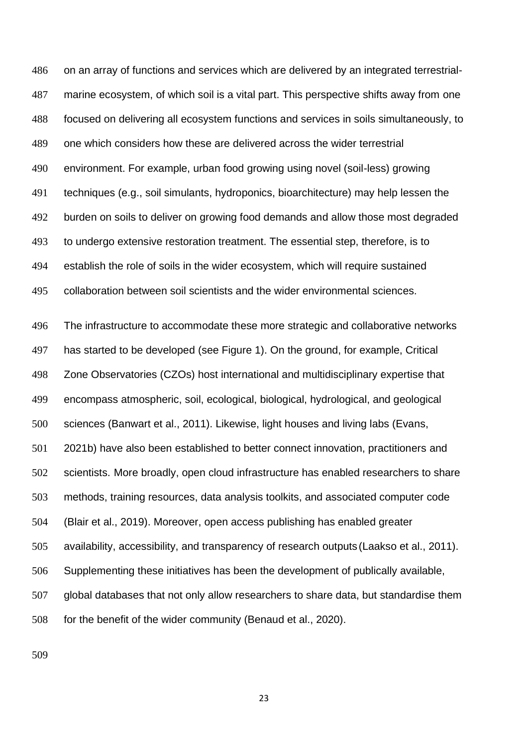on an array of functions and services which are delivered by an integrated terrestrial- marine ecosystem, of which soil is a vital part. This perspective shifts away from one focused on delivering all ecosystem functions and services in soils simultaneously, to one which considers how these are delivered across the wider terrestrial environment. For example, urban food growing using novel (soil-less) growing techniques (e.g., soil simulants, hydroponics, bioarchitecture) may help lessen the burden on soils to deliver on growing food demands and allow those most degraded to undergo extensive restoration treatment. The essential step, therefore, is to establish the role of soils in the wider ecosystem, which will require sustained collaboration between soil scientists and the wider environmental sciences.

 The infrastructure to accommodate these more strategic and collaborative networks has started to be developed (see Figure 1). On the ground, for example, Critical Zone Observatories (CZOs) host international and multidisciplinary expertise that encompass atmospheric, soil, ecological, biological, hydrological, and geological sciences (Banwart et al., 2011). Likewise, light houses and living labs (Evans, 2021b) have also been established to better connect innovation, practitioners and scientists. More broadly, open cloud infrastructure has enabled researchers to share methods, training resources, data analysis toolkits, and associated computer code (Blair et al., 2019). Moreover, open access publishing has enabled greater availability, accessibility, and transparency of research outputs (Laakso et al., 2011). Supplementing these initiatives has been the development of publically available, global databases that not only allow researchers to share data, but standardise them for the benefit of the wider community (Benaud et al., 2020).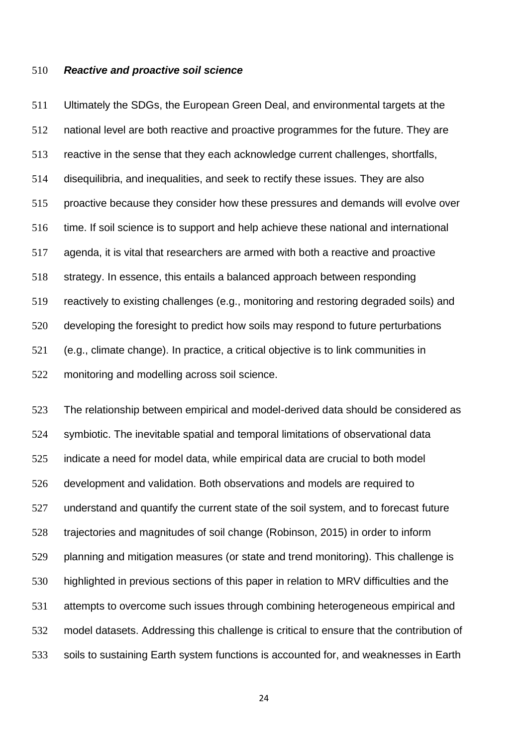### *Reactive and proactive soil science*

 Ultimately the SDGs, the European Green Deal, and environmental targets at the national level are both reactive and proactive programmes for the future. They are reactive in the sense that they each acknowledge current challenges, shortfalls, disequilibria, and inequalities, and seek to rectify these issues. They are also proactive because they consider how these pressures and demands will evolve over time. If soil science is to support and help achieve these national and international agenda, it is vital that researchers are armed with both a reactive and proactive strategy. In essence, this entails a balanced approach between responding reactively to existing challenges (e.g., monitoring and restoring degraded soils) and developing the foresight to predict how soils may respond to future perturbations (e.g., climate change). In practice, a critical objective is to link communities in monitoring and modelling across soil science.

 The relationship between empirical and model-derived data should be considered as symbiotic. The inevitable spatial and temporal limitations of observational data indicate a need for model data, while empirical data are crucial to both model development and validation. Both observations and models are required to understand and quantify the current state of the soil system, and to forecast future trajectories and magnitudes of soil change (Robinson, 2015) in order to inform planning and mitigation measures (or state and trend monitoring). This challenge is highlighted in previous sections of this paper in relation to MRV difficulties and the attempts to overcome such issues through combining heterogeneous empirical and model datasets. Addressing this challenge is critical to ensure that the contribution of soils to sustaining Earth system functions is accounted for, and weaknesses in Earth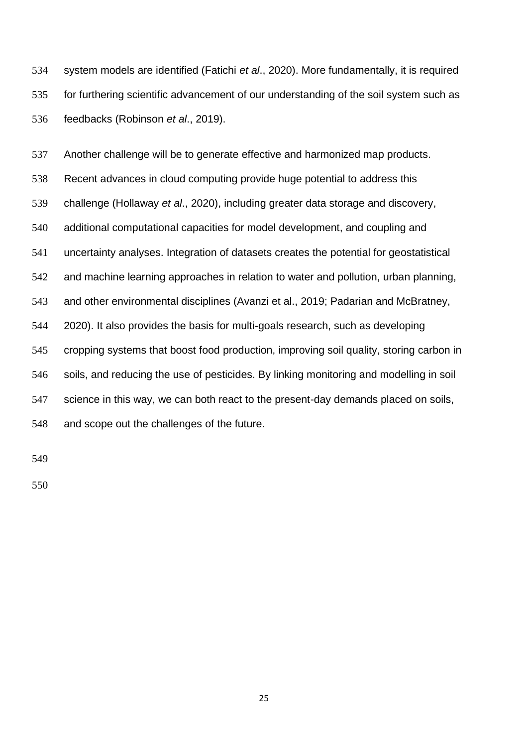system models are identified (Fatichi *et al*., 2020). More fundamentally, it is required for furthering scientific advancement of our understanding of the soil system such as feedbacks (Robinson *et al*., 2019).

 Another challenge will be to generate effective and harmonized map products. Recent advances in cloud computing provide huge potential to address this challenge (Hollaway *et al*., 2020), including greater data storage and discovery, additional computational capacities for model development, and coupling and uncertainty analyses. Integration of datasets creates the potential for geostatistical and machine learning approaches in relation to water and pollution, urban planning, and other environmental disciplines (Avanzi et al., 2019; Padarian and McBratney, 2020). It also provides the basis for multi-goals research, such as developing cropping systems that boost food production, improving soil quality, storing carbon in soils, and reducing the use of pesticides. By linking monitoring and modelling in soil 547 science in this way, we can both react to the present-day demands placed on soils, and scope out the challenges of the future.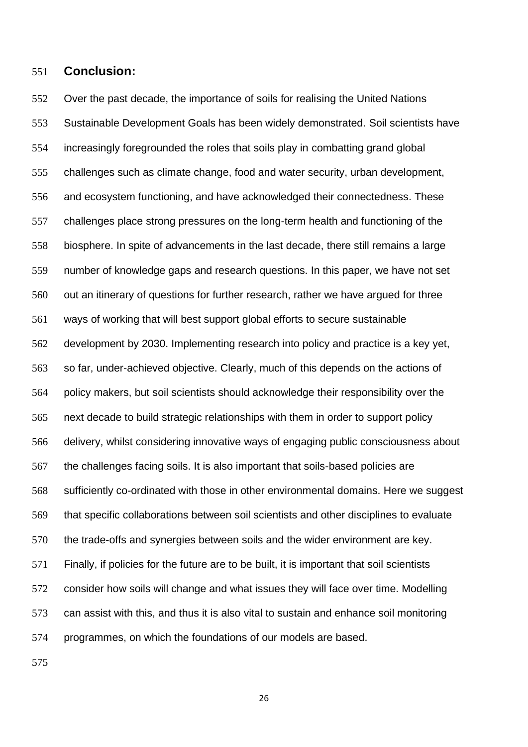### **Conclusion:**

 Over the past decade, the importance of soils for realising the United Nations Sustainable Development Goals has been widely demonstrated. Soil scientists have increasingly foregrounded the roles that soils play in combatting grand global challenges such as climate change, food and water security, urban development, and ecosystem functioning, and have acknowledged their connectedness. These challenges place strong pressures on the long-term health and functioning of the biosphere. In spite of advancements in the last decade, there still remains a large number of knowledge gaps and research questions. In this paper, we have not set out an itinerary of questions for further research, rather we have argued for three ways of working that will best support global efforts to secure sustainable development by 2030. Implementing research into policy and practice is a key yet, so far, under-achieved objective. Clearly, much of this depends on the actions of policy makers, but soil scientists should acknowledge their responsibility over the next decade to build strategic relationships with them in order to support policy delivery, whilst considering innovative ways of engaging public consciousness about the challenges facing soils. It is also important that soils-based policies are sufficiently co-ordinated with those in other environmental domains. Here we suggest that specific collaborations between soil scientists and other disciplines to evaluate the trade-offs and synergies between soils and the wider environment are key. Finally, if policies for the future are to be built, it is important that soil scientists consider how soils will change and what issues they will face over time. Modelling can assist with this, and thus it is also vital to sustain and enhance soil monitoring programmes, on which the foundations of our models are based.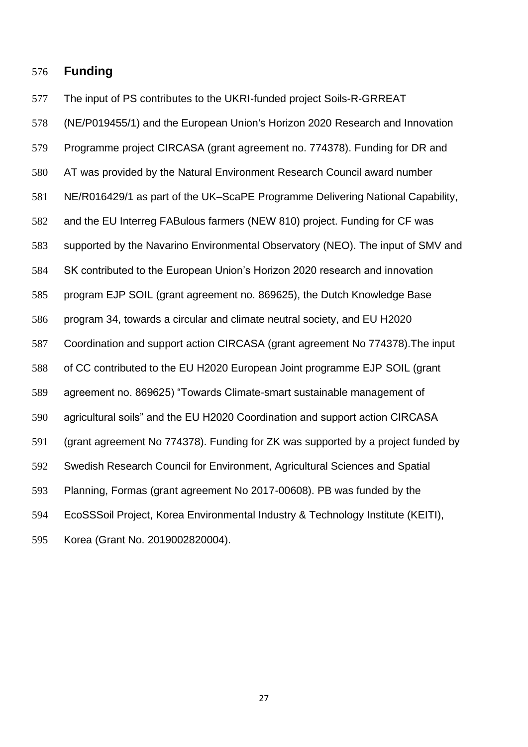### **Funding**

The input of PS contributes to the UKRI-funded project Soils-R-GRREAT

 (NE/P019455/1) and the European Union's Horizon 2020 Research and Innovation Programme project CIRCASA (grant agreement no. 774378). Funding for DR and AT was provided by the Natural Environment Research Council award number NE/R016429/1 as part of the UK–ScaPE Programme Delivering National Capability, and the EU Interreg FABulous farmers (NEW 810) project. Funding for CF was supported by the Navarino Environmental Observatory (NEO). The input of SMV and SK contributed to the European Union's Horizon 2020 research and innovation program EJP SOIL (grant agreement no. 869625), the Dutch Knowledge Base program 34, towards a circular and climate neutral society, and EU H2020 Coordination and support action CIRCASA (grant agreement No 774378).The input of CC contributed to the EU H2020 European Joint programme EJP SOIL (grant agreement no. 869625) "Towards Climate-smart sustainable management of agricultural soils" and the EU H2020 Coordination and support action CIRCASA (grant agreement No 774378). Funding for ZK was supported by a project funded by Swedish Research Council for Environment, Agricultural Sciences and Spatial Planning, Formas (grant agreement No 2017-00608). PB was funded by the EcoSSSoil Project, Korea Environmental Industry & Technology Institute (KEITI), Korea (Grant No. 2019002820004).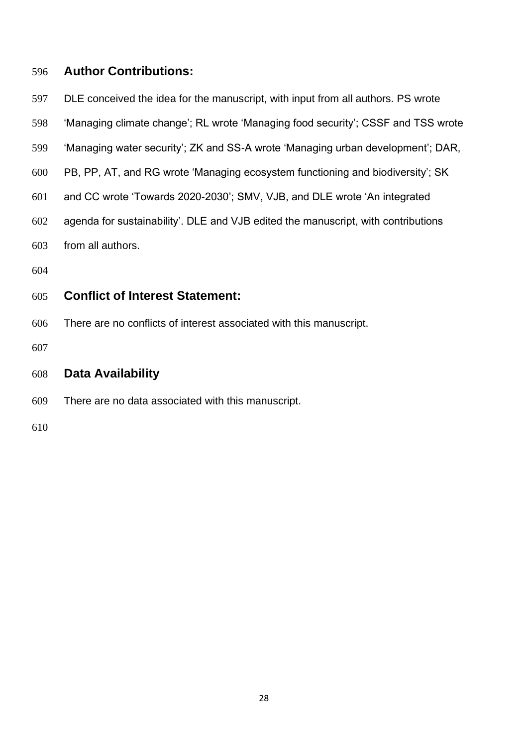### **Author Contributions:**

- DLE conceived the idea for the manuscript, with input from all authors. PS wrote
- 'Managing climate change'; RL wrote 'Managing food security'; CSSF and TSS wrote
- 'Managing water security'; ZK and SS-A wrote 'Managing urban development'; DAR,
- PB, PP, AT, and RG wrote 'Managing ecosystem functioning and biodiversity'; SK
- and CC wrote 'Towards 2020-2030'; SMV, VJB, and DLE wrote 'An integrated
- agenda for sustainability'. DLE and VJB edited the manuscript, with contributions
- from all authors.
- 

### **Conflict of Interest Statement:**

- There are no conflicts of interest associated with this manuscript.
- 
- **Data Availability**
- There are no data associated with this manuscript.
-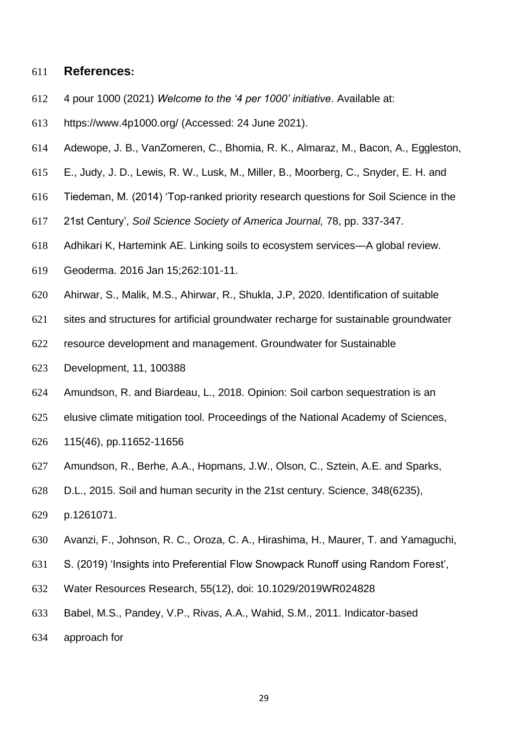### **References:**

- 4 pour 1000 (2021) *Welcome to the '4 per 1000' initiative*. Available at:
- https://www.4p1000.org/ (Accessed: 24 June 2021).
- Adewope, J. B., VanZomeren, C., Bhomia, R. K., Almaraz, M., Bacon, A., Eggleston,
- E., Judy, J. D., Lewis, R. W., Lusk, M., Miller, B., Moorberg, C., Snyder, E. H. and
- Tiedeman, M. (2014) 'Top-ranked priority research questions for Soil Science in the
- 21st Century', *Soil Science Society of America Journal,* 78, pp. 337-347.
- Adhikari K, Hartemink AE. Linking soils to ecosystem services—A global review.
- Geoderma. 2016 Jan 15;262:101-11.
- Ahirwar, S., Malik, M.S., Ahirwar, R., Shukla, J.P, 2020. Identification of suitable
- sites and structures for artificial groundwater recharge for sustainable groundwater
- resource development and management. Groundwater for Sustainable
- Development, 11, 100388
- Amundson, R. and Biardeau, L., 2018. Opinion: Soil carbon sequestration is an
- elusive climate mitigation tool. Proceedings of the National Academy of Sciences,
- 115(46), pp.11652-11656
- Amundson, R., Berhe, A.A., Hopmans, J.W., Olson, C., Sztein, A.E. and Sparks,
- D.L., 2015. Soil and human security in the 21st century. Science, 348(6235),
- p.1261071.
- Avanzi, F., Johnson, R. C., Oroza, C. A., Hirashima, H., Maurer, T. and Yamaguchi,
- S. (2019) 'Insights into Preferential Flow Snowpack Runoff using Random Forest',
- Water Resources Research, 55(12), doi: 10.1029/2019WR024828
- Babel, M.S., Pandey, V.P., Rivas, A.A., Wahid, S.M., 2011. Indicator-based
- approach for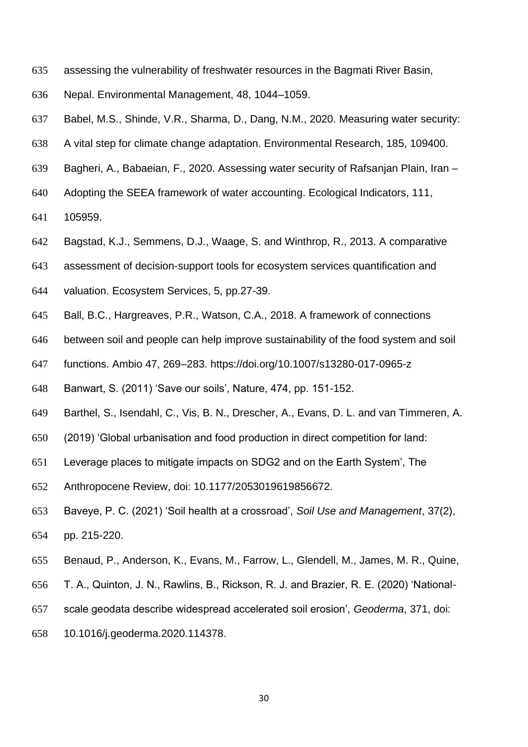- assessing the vulnerability of freshwater resources in the Bagmati River Basin,
- Nepal. Environmental Management, 48, 1044–1059.
- Babel, M.S., Shinde, V.R., Sharma, D., Dang, N.M., 2020. Measuring water security:
- A vital step for climate change adaptation. Environmental Research, 185, 109400.
- Bagheri, A., Babaeian, F., 2020. Assessing water security of Rafsanjan Plain, Iran –
- Adopting the SEEA framework of water accounting. Ecological Indicators, 111,
- 105959.
- Bagstad, K.J., Semmens, D.J., Waage, S. and Winthrop, R., 2013. A comparative
- assessment of decision-support tools for ecosystem services quantification and
- valuation. Ecosystem Services, 5, pp.27-39.
- Ball, B.C., Hargreaves, P.R., Watson, C.A., 2018. A framework of connections
- between soil and people can help improve sustainability of the food system and soil
- functions. Ambio 47, 269–283. https://doi.org/10.1007/s13280-017-0965-z
- Banwart, S. (2011) 'Save our soils', Nature, 474, pp. 151-152.
- Barthel, S., Isendahl, C., Vis, B. N., Drescher, A., Evans, D. L. and van Timmeren, A.
- (2019) 'Global urbanisation and food production in direct competition for land:
- Leverage places to mitigate impacts on SDG2 and on the Earth System', The
- Anthropocene Review, doi: 10.1177/2053019619856672.
- Baveye, P. C. (2021) 'Soil health at a crossroad', *Soil Use and Management*, 37(2), pp. 215-220.
- Benaud, P., Anderson, K., Evans, M., Farrow, L., Glendell, M., James, M. R., Quine,
- T. A., Quinton, J. N., Rawlins, B., Rickson, R. J. and Brazier, R. E. (2020) 'National-
- scale geodata describe widespread accelerated soil erosion', *Geoderma*, 371, doi:
- 10.1016/j.geoderma.2020.114378.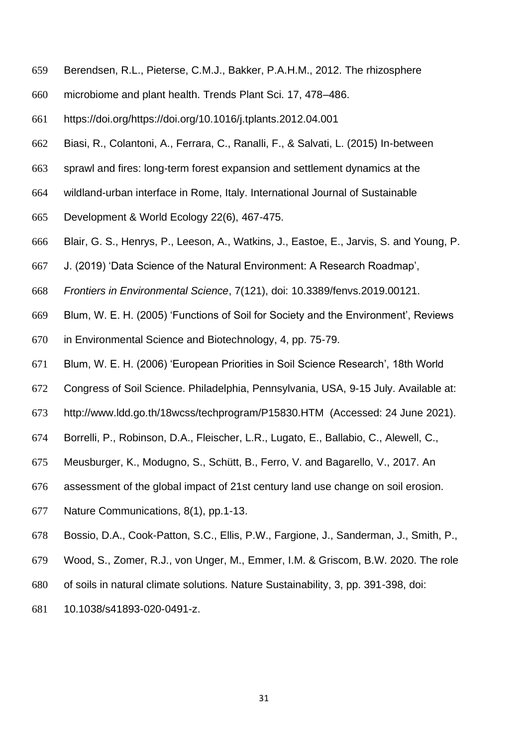- Berendsen, R.L., Pieterse, C.M.J., Bakker, P.A.H.M., 2012. The rhizosphere
- microbiome and plant health. Trends Plant Sci. 17, 478–486.
- https://doi.org/https://doi.org/10.1016/j.tplants.2012.04.001
- Biasi, R., Colantoni, A., Ferrara, C., Ranalli, F., & Salvati, L. (2015) In-between
- sprawl and fires: long-term forest expansion and settlement dynamics at the
- wildland-urban interface in Rome, Italy. International Journal of Sustainable
- Development & World Ecology 22(6), 467-475.
- Blair, G. S., Henrys, P., Leeson, A., Watkins, J., Eastoe, E., Jarvis, S. and Young, P.
- J. (2019) 'Data Science of the Natural Environment: A Research Roadmap',
- *Frontiers in Environmental Science*, 7(121), doi: 10.3389/fenvs.2019.00121.
- Blum, W. E. H. (2005) 'Functions of Soil for Society and the Environment', Reviews
- in Environmental Science and Biotechnology, 4, pp. 75-79.
- Blum, W. E. H. (2006) 'European Priorities in Soil Science Research', 18th World
- Congress of Soil Science. Philadelphia, Pennsylvania, USA, 9-15 July. Available at:
- http://www.ldd.go.th/18wcss/techprogram/P15830.HTM (Accessed: 24 June 2021).
- Borrelli, P., Robinson, D.A., Fleischer, L.R., Lugato, E., Ballabio, C., Alewell, C.,
- Meusburger, K., Modugno, S., Schütt, B., Ferro, V. and Bagarello, V., 2017. An
- assessment of the global impact of 21st century land use change on soil erosion.
- Nature Communications, 8(1), pp.1-13.
- Bossio, D.A., Cook-Patton, S.C., Ellis, P.W., Fargione, J., Sanderman, J., Smith, P.,
- Wood, S., Zomer, R.J., von Unger, M., Emmer, I.M. & Griscom, B.W. 2020. The role
- of soils in natural climate solutions. Nature Sustainability, 3, pp. 391-398, doi:
- 10.1038/s41893-020-0491-z.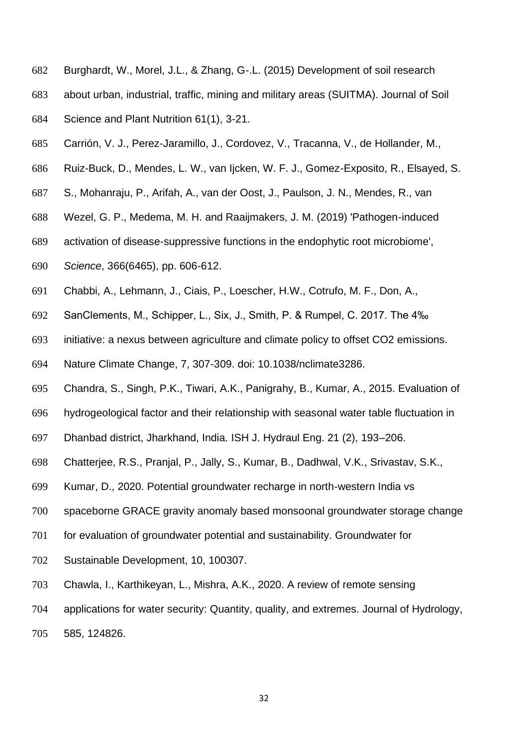- Burghardt, W., Morel, J.L., & Zhang, G-.L. (2015) Development of soil research
- about urban, industrial, traffic, mining and military areas (SUITMA). Journal of Soil
- Science and Plant Nutrition 61(1), 3-21.
- Carrión, V. J., Perez-Jaramillo, J., Cordovez, V., Tracanna, V., de Hollander, M.,
- Ruiz-Buck, D., Mendes, L. W., van Ijcken, W. F. J., Gomez-Exposito, R., Elsayed, S.
- S., Mohanraju, P., Arifah, A., van der Oost, J., Paulson, J. N., Mendes, R., van
- Wezel, G. P., Medema, M. H. and Raaijmakers, J. M. (2019) 'Pathogen-induced
- activation of disease-suppressive functions in the endophytic root microbiome',
- *Science*, 366(6465), pp. 606-612.
- Chabbi, A., Lehmann, J., Ciais, P., Loescher, H.W., Cotrufo, M. F., Don, A.,
- SanClements, M., Schipper, L., Six, J., Smith, P. & Rumpel, C. 2017. The 4‰
- initiative: a nexus between agriculture and climate policy to offset CO2 emissions.
- Nature Climate Change, 7, 307-309. doi: 10.1038/nclimate3286.
- Chandra, S., Singh, P.K., Tiwari, A.K., Panigrahy, B., Kumar, A., 2015. Evaluation of
- hydrogeological factor and their relationship with seasonal water table fluctuation in
- Dhanbad district, Jharkhand, India. ISH J. Hydraul Eng. 21 (2), 193–206.
- Chatterjee, R.S., Pranjal, P., Jally, S., Kumar, B., Dadhwal, V.K., Srivastav, S.K.,
- Kumar, D., 2020. Potential groundwater recharge in north-western India vs
- spaceborne GRACE gravity anomaly based monsoonal groundwater storage change
- for evaluation of groundwater potential and sustainability. Groundwater for
- Sustainable Development, 10, 100307.
- Chawla, I., Karthikeyan, L., Mishra, A.K., 2020. A review of remote sensing
- applications for water security: Quantity, quality, and extremes. Journal of Hydrology,
- 585, 124826.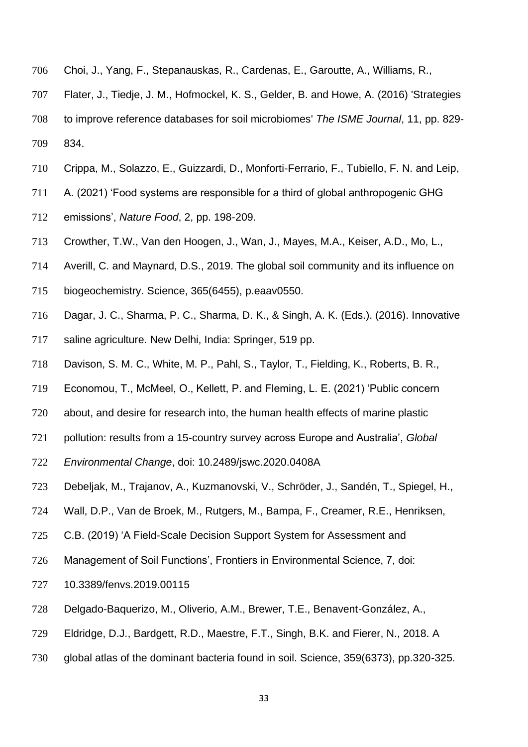- Choi, J., Yang, F., Stepanauskas, R., Cardenas, E., Garoutte, A., Williams, R.,
- Flater, J., Tiedje, J. M., Hofmockel, K. S., Gelder, B. and Howe, A. (2016) 'Strategies
- to improve reference databases for soil microbiomes' *The ISME Journal*, 11, pp. 829- 834.
- Crippa, M., Solazzo, E., Guizzardi, D., Monforti-Ferrario, F., Tubiello, F. N. and Leip,
- A. (2021) 'Food systems are responsible for a third of global anthropogenic GHG
- emissions', *Nature Food*, 2, pp. 198-209.
- Crowther, T.W., Van den Hoogen, J., Wan, J., Mayes, M.A., Keiser, A.D., Mo, L.,
- Averill, C. and Maynard, D.S., 2019. The global soil community and its influence on
- biogeochemistry. Science, 365(6455), p.eaav0550.
- Dagar, J. C., Sharma, P. C., Sharma, D. K., & Singh, A. K. (Eds.). (2016). Innovative
- saline agriculture. New Delhi, India: Springer, 519 pp.
- Davison, S. M. C., White, M. P., Pahl, S., Taylor, T., Fielding, K., Roberts, B. R.,
- Economou, T., McMeel, O., Kellett, P. and Fleming, L. E. (2021) 'Public concern
- about, and desire for research into, the human health effects of marine plastic
- pollution: results from a 15-country survey across Europe and Australia', *Global*
- *Environmental Change*, doi: 10.2489/jswc.2020.0408A
- Debeljak, M., Trajanov, A., Kuzmanovski, V., Schröder, J., Sandén, T., Spiegel, H.,
- Wall, D.P., Van de Broek, M., Rutgers, M., Bampa, F., Creamer, R.E., Henriksen,
- C.B. (2019) 'A Field-Scale Decision Support System for Assessment and
- Management of Soil Functions', Frontiers in Environmental Science, 7, doi:
- 10.3389/fenvs.2019.00115
- Delgado-Baquerizo, M., Oliverio, A.M., Brewer, T.E., Benavent-González, A.,
- Eldridge, D.J., Bardgett, R.D., Maestre, F.T., Singh, B.K. and Fierer, N., 2018. A
- global atlas of the dominant bacteria found in soil. Science, 359(6373), pp.320-325.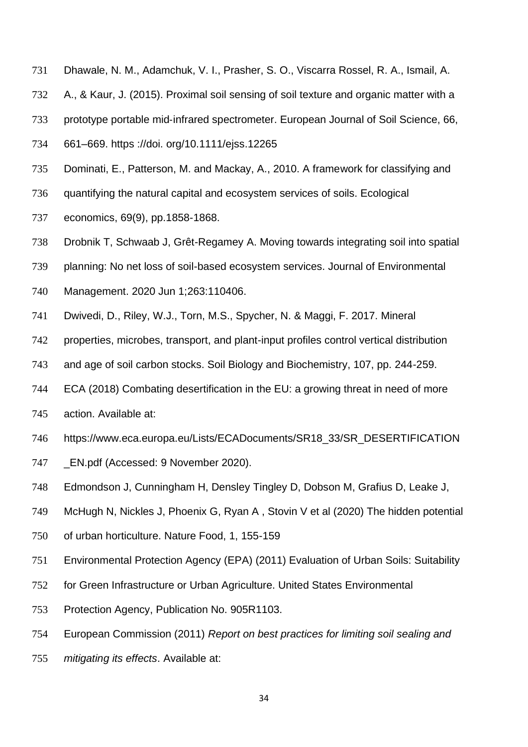- Dhawale, N. M., Adamchuk, V. I., Prasher, S. O., Viscarra Rossel, R. A., Ismail, A.
- A., & Kaur, J. (2015). Proximal soil sensing of soil texture and organic matter with a
- prototype portable mid‐infrared spectrometer. European Journal of Soil Science, 66,
- 661–669. https ://doi. org/10.1111/ejss.12265
- Dominati, E., Patterson, M. and Mackay, A., 2010. A framework for classifying and
- quantifying the natural capital and ecosystem services of soils. Ecological
- economics, 69(9), pp.1858-1868.
- Drobnik T, Schwaab J, Grêt-Regamey A. Moving towards integrating soil into spatial
- planning: No net loss of soil-based ecosystem services. Journal of Environmental
- Management. 2020 Jun 1;263:110406.
- Dwivedi, D., Riley, W.J., Torn, M.S., Spycher, N. & Maggi, F. 2017. Mineral
- properties, microbes, transport, and plant-input profiles control vertical distribution
- and age of soil carbon stocks. Soil Biology and Biochemistry, 107, pp. 244-259.
- ECA (2018) Combating desertification in the EU: a growing threat in need of more
- action. Available at:
- https://www.eca.europa.eu/Lists/ECADocuments/SR18\_33/SR\_DESERTIFICATION
- 747 EN.pdf (Accessed: 9 November 2020).
- Edmondson J, Cunningham H, Densley Tingley D, Dobson M, Grafius D, Leake J,
- McHugh N, Nickles J, Phoenix G, Ryan A , Stovin V et al (2020) The hidden potential
- of urban horticulture. Nature Food, 1, 155-159
- Environmental Protection Agency (EPA) (2011) Evaluation of Urban Soils: Suitability
- for Green Infrastructure or Urban Agriculture. United States Environmental
- Protection Agency, Publication No. 905R1103.
- European Commission (2011) *Report on best practices for limiting soil sealing and*
- *mitigating its effects*. Available at: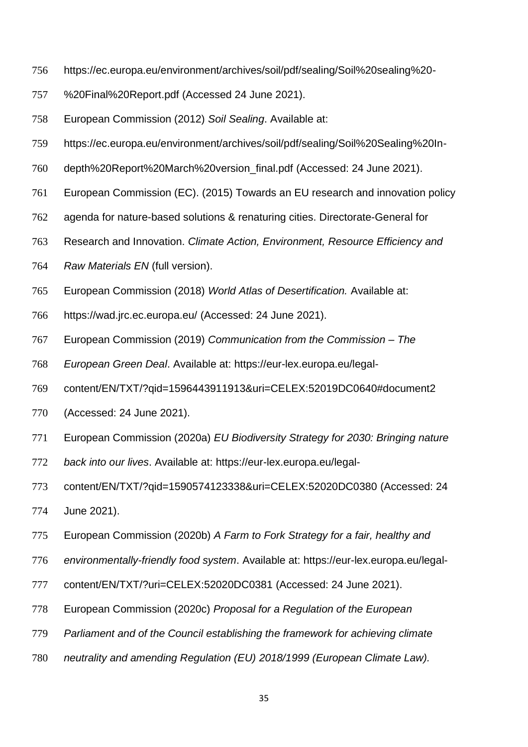- https://ec.europa.eu/environment/archives/soil/pdf/sealing/Soil%20sealing%20-
- %20Final%20Report.pdf (Accessed 24 June 2021).
- European Commission (2012) *Soil Sealing*. Available at:
- https://ec.europa.eu/environment/archives/soil/pdf/sealing/Soil%20Sealing%20In-
- depth%20Report%20March%20version\_final.pdf (Accessed: 24 June 2021).
- European Commission (EC). (2015) Towards an EU research and innovation policy
- agenda for nature-based solutions & renaturing cities. Directorate-General for
- Research and Innovation. *Climate Action, Environment, Resource Efficiency and*
- *Raw Materials EN* (full version).
- European Commission (2018) *World Atlas of Desertification.* Available at:
- https://wad.jrc.ec.europa.eu/ (Accessed: 24 June 2021).
- European Commission (2019) *Communication from the Commission – The*
- *European Green Deal*. Available at: https://eur-lex.europa.eu/legal-
- content/EN/TXT/?qid=1596443911913&uri=CELEX:52019DC0640#document2
- (Accessed: 24 June 2021).
- European Commission (2020a) *EU Biodiversity Strategy for 2030: Bringing nature*
- *back into our lives*. Available at: https://eur-lex.europa.eu/legal-
- content/EN/TXT/?qid=1590574123338&uri=CELEX:52020DC0380 (Accessed: 24
- June 2021).
- European Commission (2020b) *A Farm to Fork Strategy for a fair, healthy and*
- *environmentally-friendly food system*. Available at: https://eur-lex.europa.eu/legal-
- content/EN/TXT/?uri=CELEX:52020DC0381 (Accessed: 24 June 2021).
- European Commission (2020c) *Proposal for a Regulation of the European*
- *Parliament and of the Council establishing the framework for achieving climate*
- *neutrality and amending Regulation (EU) 2018/1999 (European Climate Law).*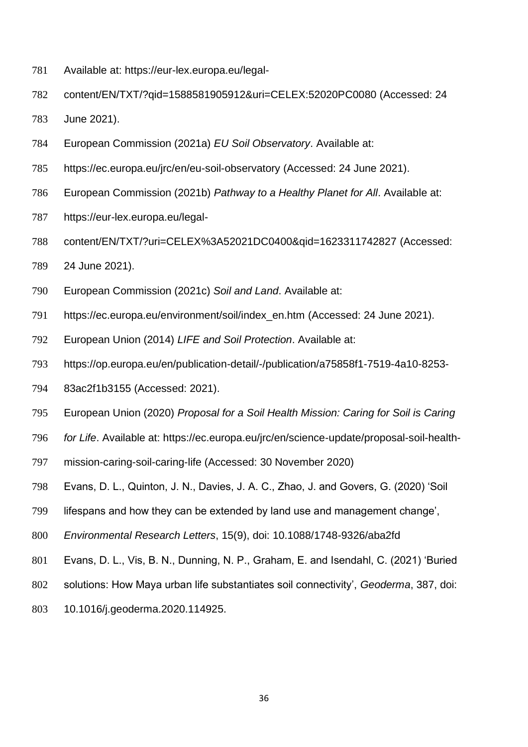- Available at: https://eur-lex.europa.eu/legal-
- content/EN/TXT/?qid=1588581905912&uri=CELEX:52020PC0080 (Accessed: 24
- June 2021).
- European Commission (2021a) *EU Soil Observatory*. Available at:
- https://ec.europa.eu/jrc/en/eu-soil-observatory (Accessed: 24 June 2021).
- European Commission (2021b) *Pathway to a Healthy Planet for All*. Available at:
- https://eur-lex.europa.eu/legal-
- content/EN/TXT/?uri=CELEX%3A52021DC0400&qid=1623311742827 (Accessed:
- 24 June 2021).
- European Commission (2021c) *Soil and Land*. Available at:
- https://ec.europa.eu/environment/soil/index\_en.htm (Accessed: 24 June 2021).
- European Union (2014) *LIFE and Soil Protection*. Available at:
- https://op.europa.eu/en/publication-detail/-/publication/a75858f1-7519-4a10-8253-
- 83ac2f1b3155 (Accessed: 2021).
- European Union (2020) *Proposal for a Soil Health Mission: Caring for Soil is Caring*
- *for Life*. Available at: https://ec.europa.eu/jrc/en/science-update/proposal-soil-health-
- mission-caring-soil-caring-life (Accessed: 30 November 2020)
- Evans, D. L., Quinton, J. N., Davies, J. A. C., Zhao, J. and Govers, G. (2020) 'Soil
- lifespans and how they can be extended by land use and management change',
- *Environmental Research Letters*, 15(9), doi: 10.1088/1748-9326/aba2fd
- Evans, D. L., Vis, B. N., Dunning, N. P., Graham, E. and Isendahl, C. (2021) 'Buried
- solutions: How Maya urban life substantiates soil connectivity', *Geoderma*, 387, doi:
- 10.1016/j.geoderma.2020.114925.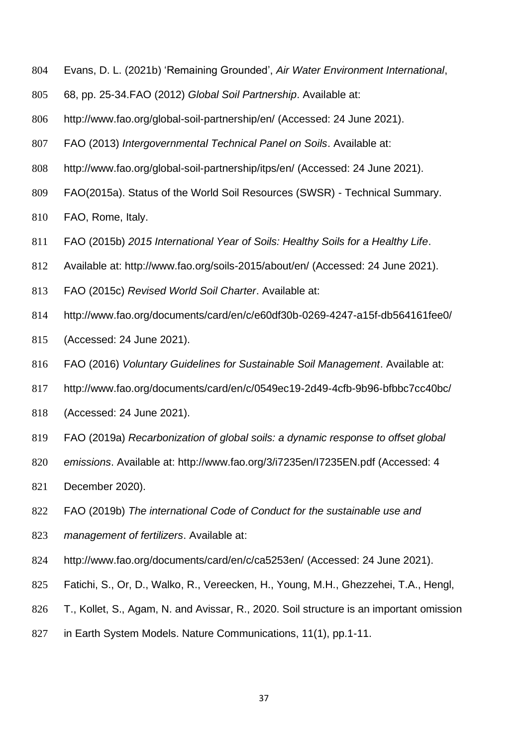- Evans, D. L. (2021b) 'Remaining Grounded', *Air Water Environment International*,
- 68, pp. 25-34.FAO (2012) *Global Soil Partnership*. Available at:
- http://www.fao.org/global-soil-partnership/en/ (Accessed: 24 June 2021).
- FAO (2013) *Intergovernmental Technical Panel on Soils*. Available at:
- http://www.fao.org/global-soil-partnership/itps/en/ (Accessed: 24 June 2021).
- FAO(2015a). Status of the World Soil Resources (SWSR) Technical Summary.
- FAO, Rome, Italy.
- FAO (2015b) *2015 International Year of Soils: Healthy Soils for a Healthy Life*.
- Available at: http://www.fao.org/soils-2015/about/en/ (Accessed: 24 June 2021).
- FAO (2015c) *Revised World Soil Charter*. Available at:
- http://www.fao.org/documents/card/en/c/e60df30b-0269-4247-a15f-db564161fee0/
- (Accessed: 24 June 2021).
- FAO (2016) *Voluntary Guidelines for Sustainable Soil Management*. Available at:
- http://www.fao.org/documents/card/en/c/0549ec19-2d49-4cfb-9b96-bfbbc7cc40bc/
- (Accessed: 24 June 2021).
- FAO (2019a) *Recarbonization of global soils: a dynamic response to offset global*
- *emissions*. Available at: http://www.fao.org/3/i7235en/I7235EN.pdf (Accessed: 4
- December 2020).
- FAO (2019b) *The international Code of Conduct for the sustainable use and*
- *management of fertilizers*. Available at:
- http://www.fao.org/documents/card/en/c/ca5253en/ (Accessed: 24 June 2021).
- Fatichi, S., Or, D., Walko, R., Vereecken, H., Young, M.H., Ghezzehei, T.A., Hengl,
- T., Kollet, S., Agam, N. and Avissar, R., 2020. Soil structure is an important omission
- in Earth System Models. Nature Communications, 11(1), pp.1-11.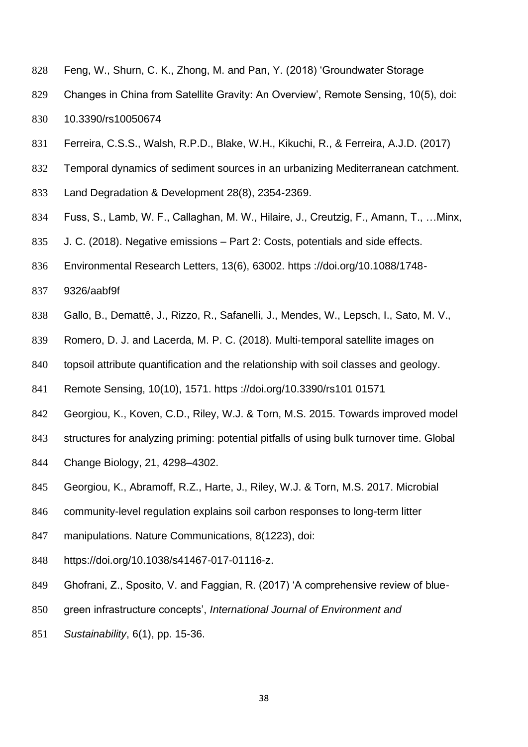- Feng, W., Shurn, C. K., Zhong, M. and Pan, Y. (2018) 'Groundwater Storage
- Changes in China from Satellite Gravity: An Overview', Remote Sensing, 10(5), doi: 10.3390/rs10050674
- Ferreira, C.S.S., Walsh, R.P.D., Blake, W.H., Kikuchi, R., & Ferreira, A.J.D. (2017)
- Temporal dynamics of sediment sources in an urbanizing Mediterranean catchment.
- Land Degradation & Development 28(8), 2354-2369.
- Fuss, S., Lamb, W. F., Callaghan, M. W., Hilaire, J., Creutzig, F., Amann, T., …Minx,
- J. C. (2018). Negative emissions Part 2: Costs, potentials and side effects.
- Environmental Research Letters, 13(6), 63002. https ://doi.org/10.1088/1748-
- 9326/aabf9f
- Gallo, B., Demattê, J., Rizzo, R., Safanelli, J., Mendes, W., Lepsch, I., Sato, M. V.,
- 839 Romero, D. J. and Lacerda, M. P. C. (2018). Multi-temporal satellite images on
- topsoil attribute quantification and the relationship with soil classes and geology.
- Remote Sensing, 10(10), 1571. https ://doi.org/10.3390/rs101 01571
- Georgiou, K., Koven, C.D., Riley, W.J. & Torn, M.S. 2015. Towards improved model
- structures for analyzing priming: potential pitfalls of using bulk turnover time. Global
- Change Biology, 21, 4298–4302.
- Georgiou, K., Abramoff, R.Z., Harte, J., Riley, W.J. & Torn, M.S. 2017. Microbial
- community-level regulation explains soil carbon responses to long-term litter
- manipulations. Nature Communications, 8(1223), doi:
- https://doi.org/10.1038/s41467-017-01116-z.
- Ghofrani, Z., Sposito, V. and Faggian, R. (2017) 'A comprehensive review of blue-
- green infrastructure concepts', *International Journal of Environment and*
- *Sustainability*, 6(1), pp. 15-36.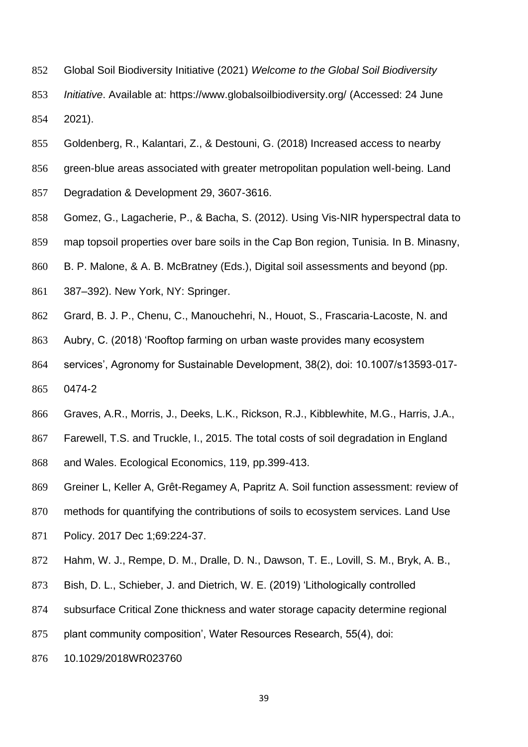- Global Soil Biodiversity Initiative (2021) *Welcome to the Global Soil Biodiversity*
- *Initiative*. Available at: https://www.globalsoilbiodiversity.org/ (Accessed: 24 June 2021).
- Goldenberg, R., Kalantari, Z., & Destouni, G. (2018) Increased access to nearby
- green-blue areas associated with greater metropolitan population well-being. Land
- Degradation & Development 29, 3607-3616.
- 858 Gomez, G., Lagacherie, P., & Bacha, S. (2012). Using Vis-NIR hyperspectral data to
- map topsoil properties over bare soils in the Cap Bon region, Tunisia. In B. Minasny,
- B. P. Malone, & A. B. McBratney (Eds.), Digital soil assessments and beyond (pp.
- 387–392). New York, NY: Springer.
- Grard, B. J. P., Chenu, C., Manouchehri, N., Houot, S., Frascaria-Lacoste, N. and
- Aubry, C. (2018) 'Rooftop farming on urban waste provides many ecosystem
- services', Agronomy for Sustainable Development, 38(2), doi: 10.1007/s13593-017-
- 0474-2
- Graves, A.R., Morris, J., Deeks, L.K., Rickson, R.J., Kibblewhite, M.G., Harris, J.A.,
- Farewell, T.S. and Truckle, I., 2015. The total costs of soil degradation in England
- and Wales. Ecological Economics, 119, pp.399-413.
- Greiner L, Keller A, Grêt-Regamey A, Papritz A. Soil function assessment: review of
- methods for quantifying the contributions of soils to ecosystem services. Land Use
- Policy. 2017 Dec 1;69:224-37.
- Hahm, W. J., Rempe, D. M., Dralle, D. N., Dawson, T. E., Lovill, S. M., Bryk, A. B.,
- Bish, D. L., Schieber, J. and Dietrich, W. E. (2019) 'Lithologically controlled
- subsurface Critical Zone thickness and water storage capacity determine regional
- plant community composition', Water Resources Research, 55(4), doi:
- 10.1029/2018WR023760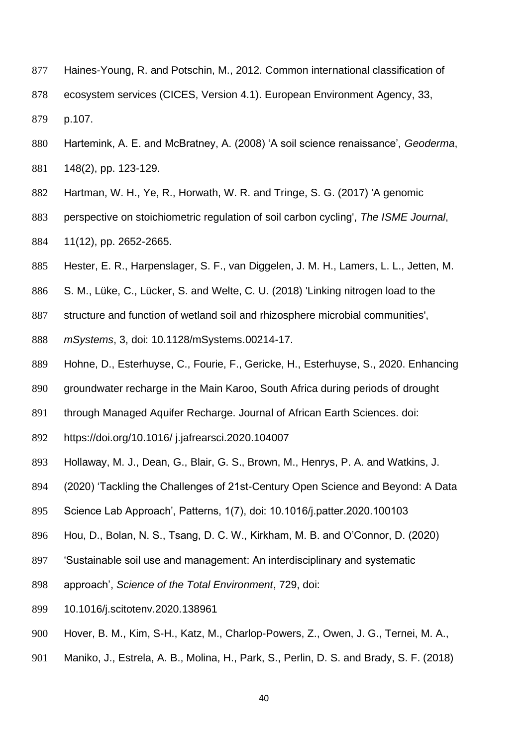- Haines-Young, R. and Potschin, M., 2012. Common international classification of
- ecosystem services (CICES, Version 4.1). European Environment Agency, 33,

p.107.

- Hartemink, A. E. and McBratney, A. (2008) 'A soil science renaissance', *Geoderma*, 148(2), pp. 123-129.
- Hartman, W. H., Ye, R., Horwath, W. R. and Tringe, S. G. (2017) 'A genomic
- perspective on stoichiometric regulation of soil carbon cycling', *The ISME Journal*, 11(12), pp. 2652-2665.
- Hester, E. R., Harpenslager, S. F., van Diggelen, J. M. H., Lamers, L. L., Jetten, M.
- S. M., Lüke, C., Lücker, S. and Welte, C. U. (2018) 'Linking nitrogen load to the
- structure and function of wetland soil and rhizosphere microbial communities',
- *mSystems*, 3, doi: 10.1128/mSystems.00214-17.
- Hohne, D., Esterhuyse, C., Fourie, F., Gericke, H., Esterhuyse, S., 2020. Enhancing
- groundwater recharge in the Main Karoo, South Africa during periods of drought
- 891 through Managed Aquifer Recharge. Journal of African Earth Sciences, doi:
- https://doi.org/10.1016/ j.jafrearsci.2020.104007
- Hollaway, M. J., Dean, G., Blair, G. S., Brown, M., Henrys, P. A. and Watkins, J.
- (2020) 'Tackling the Challenges of 21st-Century Open Science and Beyond: A Data
- Science Lab Approach', Patterns, 1(7), doi: 10.1016/j.patter.2020.100103
- Hou, D., Bolan, N. S., Tsang, D. C. W., Kirkham, M. B. and O'Connor, D. (2020)
- 'Sustainable soil use and management: An interdisciplinary and systematic
- approach', *Science of the Total Environment*, 729, doi:
- 10.1016/j.scitotenv.2020.138961
- Hover, B. M., Kim, S-H., Katz, M., Charlop-Powers, Z., Owen, J. G., Ternei, M. A.,
- Maniko, J., Estrela, A. B., Molina, H., Park, S., Perlin, D. S. and Brady, S. F. (2018)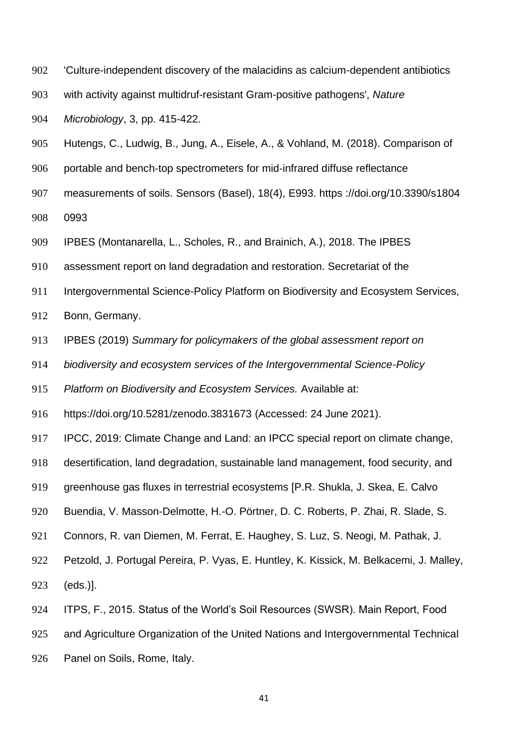- 'Culture-independent discovery of the malacidins as calcium-dependent antibiotics
- with activity against multidruf-resistant Gram-positive pathogens', *Nature*

*Microbiology*, 3, pp. 415-422.

- Hutengs, C., Ludwig, B., Jung, A., Eisele, A., & Vohland, M. (2018). Comparison of
- 906 portable and bench-top spectrometers for mid-infrared diffuse reflectance
- measurements of soils. Sensors (Basel), 18(4), E993. https ://doi.org/10.3390/s1804

0993

- IPBES (Montanarella, L., Scholes, R., and Brainich, A.), 2018. The IPBES
- assessment report on land degradation and restoration. Secretariat of the
- Intergovernmental Science-Policy Platform on Biodiversity and Ecosystem Services,

Bonn, Germany.

- IPBES (2019) *Summary for policymakers of the global assessment report on*
- *biodiversity and ecosystem services of the Intergovernmental Science-Policy*

*Platform on Biodiversity and Ecosystem Services.* Available at:

https://doi.org/10.5281/zenodo.3831673 (Accessed: 24 June 2021).

IPCC, 2019: Climate Change and Land: an IPCC special report on climate change,

desertification, land degradation, sustainable land management, food security, and

greenhouse gas fluxes in terrestrial ecosystems [P.R. Shukla, J. Skea, E. Calvo

- Buendia, V. Masson-Delmotte, H.-O. Pörtner, D. C. Roberts, P. Zhai, R. Slade, S.
- Connors, R. van Diemen, M. Ferrat, E. Haughey, S. Luz, S. Neogi, M. Pathak, J.
- Petzold, J. Portugal Pereira, P. Vyas, E. Huntley, K. Kissick, M. Belkacemi, J. Malley, (eds.)].
- ITPS, F., 2015. Status of the World's Soil Resources (SWSR). Main Report, Food

and Agriculture Organization of the United Nations and Intergovernmental Technical

Panel on Soils, Rome, Italy.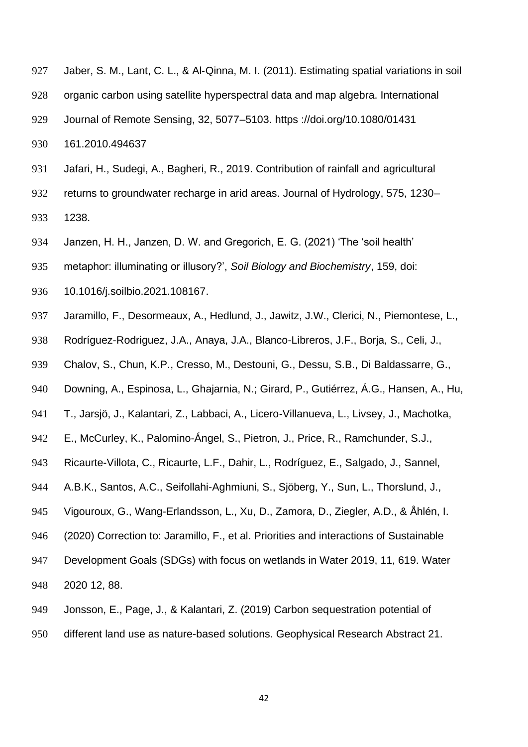- 927 Jaber, S. M., Lant, C. L., & Al-Qinna, M. I. (2011). Estimating spatial variations in soil organic carbon using satellite hyperspectral data and map algebra. International Journal of Remote Sensing, 32, 5077–5103. https ://doi.org/10.1080/01431
- 161.2010.494637
- Jafari, H., Sudegi, A., Bagheri, R., 2019. Contribution of rainfall and agricultural
- returns to groundwater recharge in arid areas. Journal of Hydrology, 575, 1230–
- 1238.
- Janzen, H. H., Janzen, D. W. and Gregorich, E. G. (2021) 'The 'soil health'
- metaphor: illuminating or illusory?', *Soil Biology and Biochemistry*, 159, doi:
- 10.1016/j.soilbio.2021.108167.
- Jaramillo, F., Desormeaux, A., Hedlund, J., Jawitz, J.W., Clerici, N., Piemontese, L.,
- Rodríguez-Rodriguez, J.A., Anaya, J.A., Blanco-Libreros, J.F., Borja, S., Celi, J.,
- Chalov, S., Chun, K.P., Cresso, M., Destouni, G., Dessu, S.B., Di Baldassarre, G.,
- Downing, A., Espinosa, L., Ghajarnia, N.; Girard, P., Gutiérrez, Á.G., Hansen, A., Hu,
- T., Jarsjö, J., Kalantari, Z., Labbaci, A., Licero-Villanueva, L., Livsey, J., Machotka,
- E., McCurley, K., Palomino-Ángel, S., Pietron, J., Price, R., Ramchunder, S.J.,
- Ricaurte-Villota, C., Ricaurte, L.F., Dahir, L., Rodríguez, E., Salgado, J., Sannel,
- A.B.K., Santos, A.C., Seifollahi-Aghmiuni, S., Sjöberg, Y., Sun, L., Thorslund, J.,
- Vigouroux, G., Wang-Erlandsson, L., Xu, D., Zamora, D., Ziegler, A.D., & Åhlén, I.
- (2020) Correction to: Jaramillo, F., et al. Priorities and interactions of Sustainable
- Development Goals (SDGs) with focus on wetlands in Water 2019, 11, 619. Water 2020 12, 88.
- Jonsson, E., Page, J., & Kalantari, Z. (2019) Carbon sequestration potential of
- different land use as nature-based solutions. Geophysical Research Abstract 21.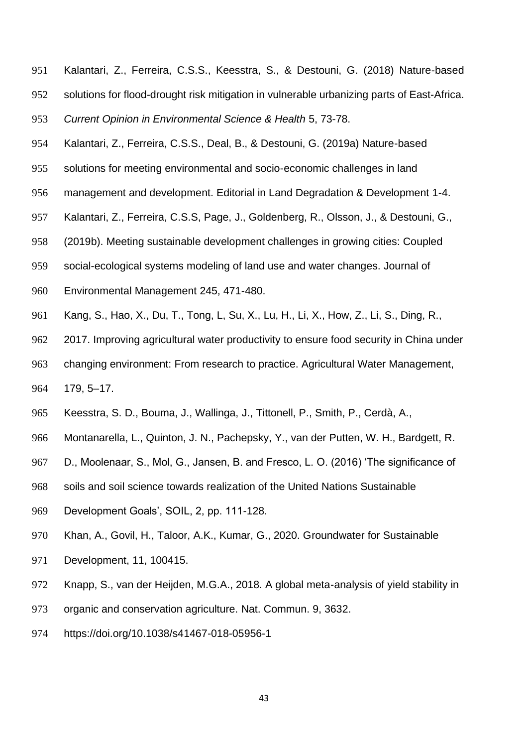Kalantari, Z., Ferreira, C.S.S., Keesstra, S., & Destouni, G. (2018) Nature-based solutions for flood-drought risk mitigation in vulnerable urbanizing parts of East-Africa.

*Current Opinion in Environmental Science & Health* 5, 73-78.

- Kalantari, Z., Ferreira, C.S.S., Deal, B., & Destouni, G. (2019a) Nature-based
- solutions for meeting environmental and socio-economic challenges in land
- management and development. Editorial in Land Degradation & Development 1-4.
- Kalantari, Z., Ferreira, C.S.S, Page, J., Goldenberg, R., Olsson, J., & Destouni, G.,
- (2019b). Meeting sustainable development challenges in growing cities: Coupled
- social-ecological systems modeling of land use and water changes. Journal of
- Environmental Management 245, 471-480.
- Kang, S., Hao, X., Du, T., Tong, L, Su, X., Lu, H., Li, X., How, Z., Li, S., Ding, R.,
- 2017. Improving agricultural water productivity to ensure food security in China under
- changing environment: From research to practice. Agricultural Water Management,
- 179, 5–17.
- Keesstra, S. D., Bouma, J., Wallinga, J., Tittonell, P., Smith, P., Cerdà, A.,
- Montanarella, L., Quinton, J. N., Pachepsky, Y., van der Putten, W. H., Bardgett, R.
- D., Moolenaar, S., Mol, G., Jansen, B. and Fresco, L. O. (2016) 'The significance of
- 968 soils and soil science towards realization of the United Nations Sustainable
- Development Goals', SOIL, 2, pp. 111-128.
- Khan, A., Govil, H., Taloor, A.K., Kumar, G., 2020. Groundwater for Sustainable
- Development, 11, 100415.
- Knapp, S., van der Heijden, M.G.A., 2018. A global meta-analysis of yield stability in
- organic and conservation agriculture. Nat. Commun. 9, 3632.
- https://doi.org/10.1038/s41467-018-05956-1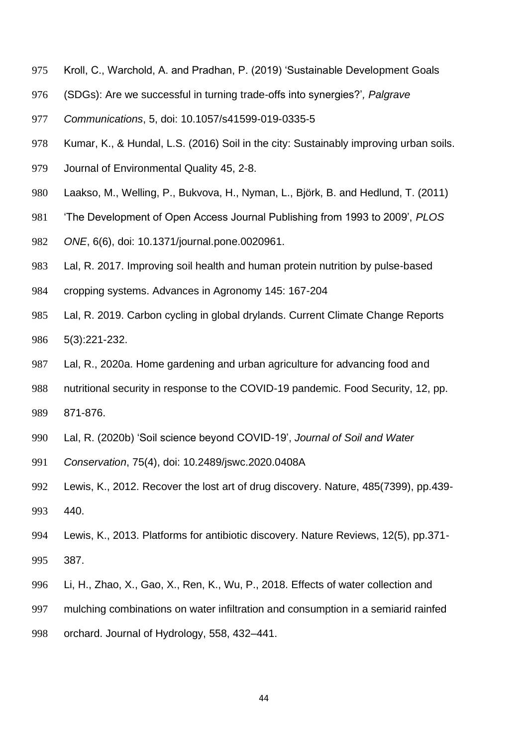- Kroll, C., Warchold, A. and Pradhan, P. (2019) 'Sustainable Development Goals
- (SDGs): Are we successful in turning trade-offs into synergies?'*, Palgrave*
- *Communications*, 5, doi: 10.1057/s41599-019-0335-5
- Kumar, K., & Hundal, L.S. (2016) Soil in the city: Sustainably improving urban soils.
- Journal of Environmental Quality 45, 2-8.
- Laakso, M., Welling, P., Bukvova, H., Nyman, L., Björk, B. and Hedlund, T. (2011)
- 'The Development of Open Access Journal Publishing from 1993 to 2009', *PLOS*
- *ONE*, 6(6), doi: 10.1371/journal.pone.0020961.
- Lal, R. 2017. Improving soil health and human protein nutrition by pulse-based
- cropping systems. Advances in Agronomy 145: 167-204
- Lal, R. 2019. Carbon cycling in global drylands. Current Climate Change Reports 5(3):221-232.
- Lal, R., 2020a. Home gardening and urban agriculture for advancing food and
- nutritional security in response to the COVID-19 pandemic. Food Security, 12, pp.
- 871-876.
- Lal, R. (2020b) 'Soil science beyond COVID-19', *Journal of Soil and Water*
- *Conservation*, 75(4), doi: 10.2489/jswc.2020.0408A
- Lewis, K., 2012. Recover the lost art of drug discovery. Nature, 485(7399), pp.439- 440.
- Lewis, K., 2013. Platforms for antibiotic discovery. Nature Reviews, 12(5), pp.371- 387.
- Li, H., Zhao, X., Gao, X., Ren, K., Wu, P., 2018. Effects of water collection and
- mulching combinations on water infiltration and consumption in a semiarid rainfed
- orchard. Journal of Hydrology, 558, 432–441.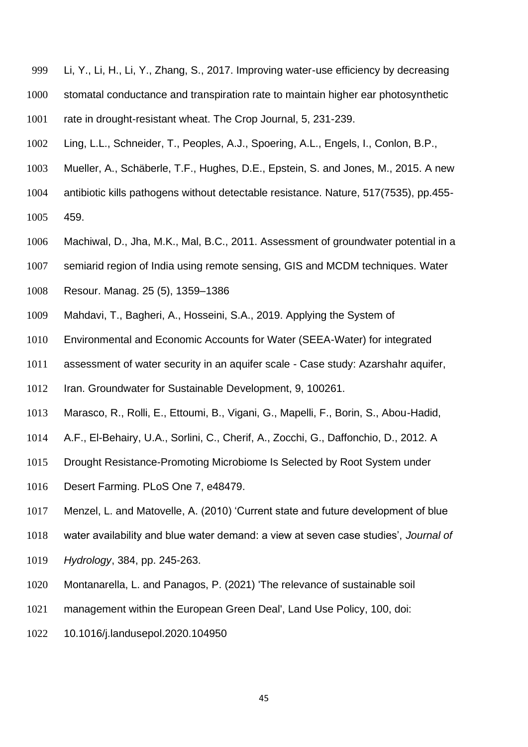- Li, Y., Li, H., Li, Y., Zhang, S., 2017. Improving water-use efficiency by decreasing stomatal conductance and transpiration rate to maintain higher ear photosynthetic rate in drought-resistant wheat. The Crop Journal, 5, 231-239.
- Ling, L.L., Schneider, T., Peoples, A.J., Spoering, A.L., Engels, I., Conlon, B.P.,
- Mueller, A., Schäberle, T.F., Hughes, D.E., Epstein, S. and Jones, M., 2015. A new
- antibiotic kills pathogens without detectable resistance. Nature, 517(7535), pp.455-
- 459.
- Machiwal, D., Jha, M.K., Mal, B.C., 2011. Assessment of groundwater potential in a
- semiarid region of India using remote sensing, GIS and MCDM techniques. Water
- Resour. Manag. 25 (5), 1359–1386
- Mahdavi, T., Bagheri, A., Hosseini, S.A., 2019. Applying the System of
- Environmental and Economic Accounts for Water (SEEA-Water) for integrated
- assessment of water security in an aquifer scale Case study: Azarshahr aquifer,
- Iran. Groundwater for Sustainable Development, 9, 100261.
- Marasco, R., Rolli, E., Ettoumi, B., Vigani, G., Mapelli, F., Borin, S., Abou-Hadid,
- A.F., El-Behairy, U.A., Sorlini, C., Cherif, A., Zocchi, G., Daffonchio, D., 2012. A
- Drought Resistance-Promoting Microbiome Is Selected by Root System under
- Desert Farming. PLoS One 7, e48479.
- Menzel, L. and Matovelle, A. (2010) 'Current state and future development of blue
- water availability and blue water demand: a view at seven case studies', *Journal of*
- *Hydrology*, 384, pp. 245-263.
- Montanarella, L. and Panagos, P. (2021) 'The relevance of sustainable soil
- management within the European Green Deal', Land Use Policy, 100, doi:
- 10.1016/j.landusepol.2020.104950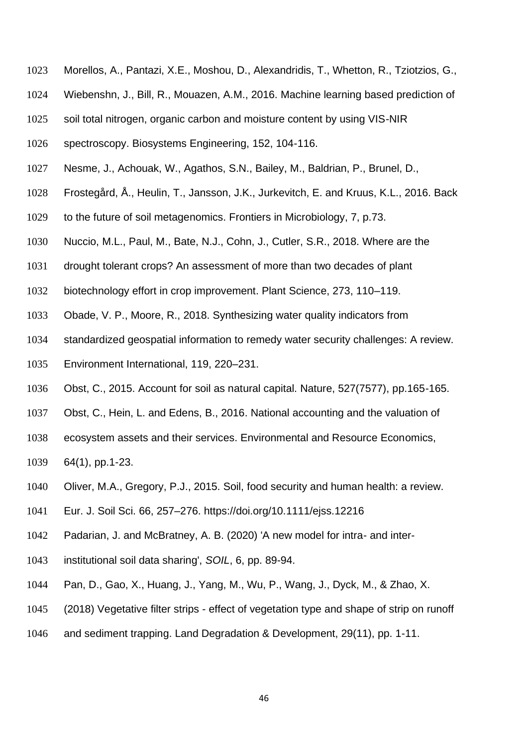- Morellos, A., Pantazi, X.E., Moshou, D., Alexandridis, T., Whetton, R., Tziotzios, G.,
- Wiebenshn, J., Bill, R., Mouazen, A.M., 2016. Machine learning based prediction of
- soil total nitrogen, organic carbon and moisture content by using VIS-NIR
- spectroscopy. Biosystems Engineering, 152, 104-116.
- Nesme, J., Achouak, W., Agathos, S.N., Bailey, M., Baldrian, P., Brunel, D.,
- Frostegård, Å., Heulin, T., Jansson, J.K., Jurkevitch, E. and Kruus, K.L., 2016. Back
- to the future of soil metagenomics. Frontiers in Microbiology, 7, p.73.
- Nuccio, M.L., Paul, M., Bate, N.J., Cohn, J., Cutler, S.R., 2018. Where are the
- drought tolerant crops? An assessment of more than two decades of plant
- biotechnology effort in crop improvement. Plant Science, 273, 110–119.
- Obade, V. P., Moore, R., 2018. Synthesizing water quality indicators from
- standardized geospatial information to remedy water security challenges: A review.
- Environment International, 119, 220–231.
- Obst, C., 2015. Account for soil as natural capital. Nature, 527(7577), pp.165-165.
- Obst, C., Hein, L. and Edens, B., 2016. National accounting and the valuation of
- ecosystem assets and their services. Environmental and Resource Economics,
- 64(1), pp.1-23.
- Oliver, M.A., Gregory, P.J., 2015. Soil, food security and human health: a review.
- Eur. J. Soil Sci. 66, 257–276. https://doi.org/10.1111/ejss.12216
- Padarian, J. and McBratney, A. B. (2020) 'A new model for intra- and inter-
- institutional soil data sharing', *SOIL*, 6, pp. 89-94.
- Pan, D., Gao, X., Huang, J., Yang, M., Wu, P., Wang, J., Dyck, M., & Zhao, X.
- (2018) Vegetative filter strips effect of vegetation type and shape of strip on runoff
- and sediment trapping. Land Degradation & Development, 29(11), pp. 1-11.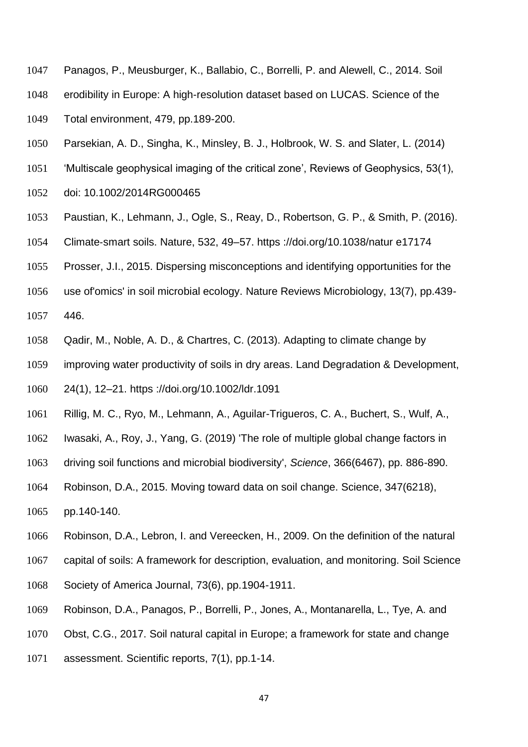- Panagos, P., Meusburger, K., Ballabio, C., Borrelli, P. and Alewell, C., 2014. Soil
- erodibility in Europe: A high-resolution dataset based on LUCAS. Science of the
- Total environment, 479, pp.189-200.
- Parsekian, A. D., Singha, K., Minsley, B. J., Holbrook, W. S. and Slater, L. (2014)
- 'Multiscale geophysical imaging of the critical zone', Reviews of Geophysics, 53(1),
- doi: 10.1002/2014RG000465
- Paustian, K., Lehmann, J., Ogle, S., Reay, D., Robertson, G. P., & Smith, P. (2016).
- Climate‐smart soils. Nature, 532, 49–57. https ://doi.org/10.1038/natur e17174
- Prosser, J.I., 2015. Dispersing misconceptions and identifying opportunities for the
- use of'omics' in soil microbial ecology. Nature Reviews Microbiology, 13(7), pp.439-
- 446.
- Qadir, M., Noble, A. D., & Chartres, C. (2013). Adapting to climate change by
- improving water productivity of soils in dry areas. Land Degradation & Development,
- 24(1), 12–21. https ://doi.org/10.1002/ldr.1091
- Rillig, M. C., Ryo, M., Lehmann, A., Aguilar-Trigueros, C. A., Buchert, S., Wulf, A.,
- Iwasaki, A., Roy, J., Yang, G. (2019) 'The role of multiple global change factors in
- driving soil functions and microbial biodiversity', *Science*, 366(6467), pp. 886-890.
- Robinson, D.A., 2015. Moving toward data on soil change. Science, 347(6218),
- pp.140-140.
- Robinson, D.A., Lebron, I. and Vereecken, H., 2009. On the definition of the natural
- capital of soils: A framework for description, evaluation, and monitoring. Soil Science
- Society of America Journal, 73(6), pp.1904-1911.
- Robinson, D.A., Panagos, P., Borrelli, P., Jones, A., Montanarella, L., Tye, A. and
- Obst, C.G., 2017. Soil natural capital in Europe; a framework for state and change
- assessment. Scientific reports, 7(1), pp.1-14.
	-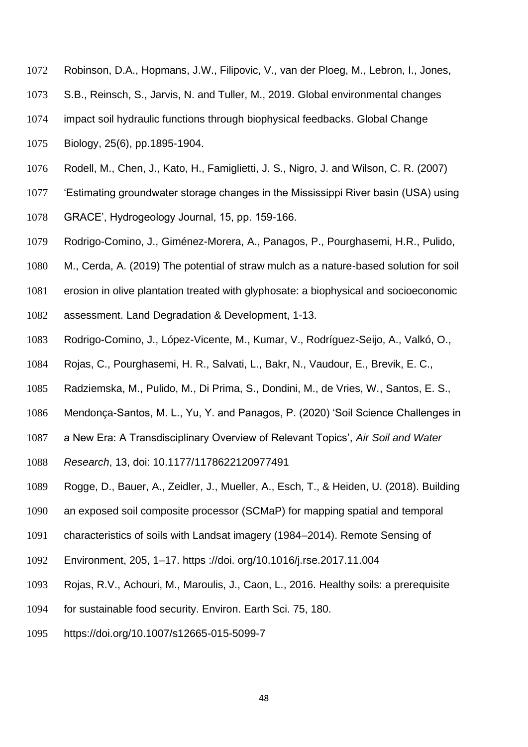- Robinson, D.A., Hopmans, J.W., Filipovic, V., van der Ploeg, M., Lebron, I., Jones,
- S.B., Reinsch, S., Jarvis, N. and Tuller, M., 2019. Global environmental changes
- impact soil hydraulic functions through biophysical feedbacks. Global Change
- Biology, 25(6), pp.1895-1904.
- Rodell, M., Chen, J., Kato, H., Famiglietti, J. S., Nigro, J. and Wilson, C. R. (2007)
- 'Estimating groundwater storage changes in the Mississippi River basin (USA) using
- GRACE', Hydrogeology Journal, 15, pp. 159-166.
- Rodrigo-Comino, J., Giménez-Morera, A., Panagos, P., Pourghasemi, H.R., Pulido,
- M., Cerda, A. (2019) The potential of straw mulch as a nature-based solution for soil
- erosion in olive plantation treated with glyphosate: a biophysical and socioeconomic
- assessment. Land Degradation & Development, 1-13.
- Rodrigo-Comino, J., López-Vicente, M., Kumar, V., Rodríguez-Seijo, A., Valkó, O.,
- Rojas, C., Pourghasemi, H. R., Salvati, L., Bakr, N., Vaudour, E., Brevik, E. C.,
- Radziemska, M., Pulido, M., Di Prima, S., Dondini, M., de Vries, W., Santos, E. S.,
- Mendonça-Santos, M. L., Yu, Y. and Panagos, P. (2020) 'Soil Science Challenges in
- a New Era: A Transdisciplinary Overview of Relevant Topics', *Air Soil and Water*
- *Research*, 13, doi: 10.1177/1178622120977491
- Rogge, D., Bauer, A., Zeidler, J., Mueller, A., Esch, T., & Heiden, U. (2018). Building
- an exposed soil composite processor (SCMaP) for mapping spatial and temporal
- characteristics of soils with Landsat imagery (1984–2014). Remote Sensing of
- Environment, 205, 1–17. https ://doi. org/10.1016/j.rse.2017.11.004
- Rojas, R.V., Achouri, M., Maroulis, J., Caon, L., 2016. Healthy soils: a prerequisite
- for sustainable food security. Environ. Earth Sci. 75, 180.
- https://doi.org/10.1007/s12665-015-5099-7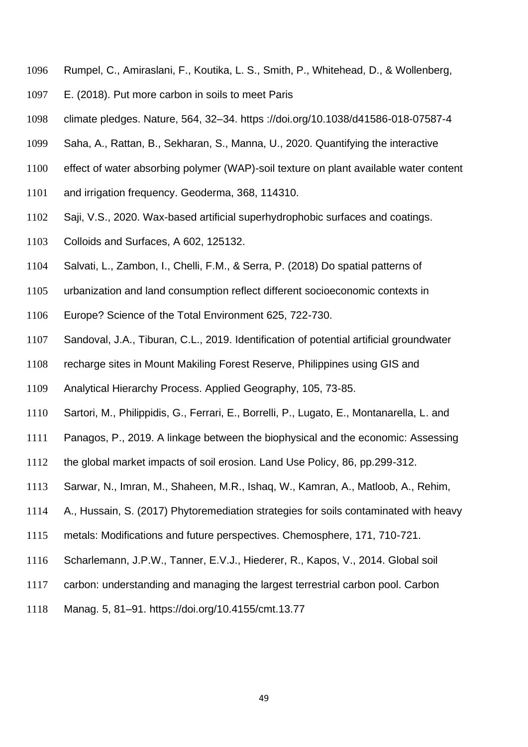- Rumpel, C., Amiraslani, F., Koutika, L. S., Smith, P., Whitehead, D., & Wollenberg,
- E. (2018). Put more carbon in soils to meet Paris
- climate pledges. Nature, 564, 32–34. https ://doi.org/10.1038/d41586-018-07587-4
- Saha, A., Rattan, B., Sekharan, S., Manna, U., 2020. Quantifying the interactive
- effect of water absorbing polymer (WAP)-soil texture on plant available water content
- and irrigation frequency. Geoderma, 368, 114310.
- Saji, V.S., 2020. Wax-based artificial superhydrophobic surfaces and coatings.
- Colloids and Surfaces, A 602, 125132.
- Salvati, L., Zambon, I., Chelli, F.M., & Serra, P. (2018) Do spatial patterns of
- urbanization and land consumption reflect different socioeconomic contexts in
- Europe? Science of the Total Environment 625, 722-730.
- Sandoval, J.A., Tiburan, C.L., 2019. Identification of potential artificial groundwater
- recharge sites in Mount Makiling Forest Reserve, Philippines using GIS and
- Analytical Hierarchy Process. Applied Geography, 105, 73-85.
- Sartori, M., Philippidis, G., Ferrari, E., Borrelli, P., Lugato, E., Montanarella, L. and
- Panagos, P., 2019. A linkage between the biophysical and the economic: Assessing
- the global market impacts of soil erosion. Land Use Policy, 86, pp.299-312.
- Sarwar, N., Imran, M., Shaheen, M.R., Ishaq, W., Kamran, A., Matloob, A., Rehim,
- A., Hussain, S. (2017) Phytoremediation strategies for soils contaminated with heavy
- metals: Modifications and future perspectives. Chemosphere, 171, 710-721.
- Scharlemann, J.P.W., Tanner, E.V.J., Hiederer, R., Kapos, V., 2014. Global soil
- carbon: understanding and managing the largest terrestrial carbon pool. Carbon
- Manag. 5, 81–91. https://doi.org/10.4155/cmt.13.77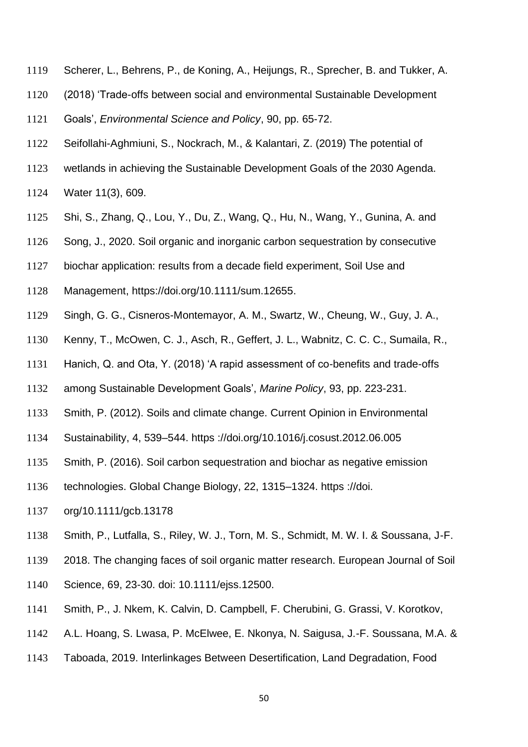- Scherer, L., Behrens, P., de Koning, A., Heijungs, R., Sprecher, B. and Tukker, A.
- (2018) 'Trade-offs between social and environmental Sustainable Development
- Goals', *Environmental Science and Policy*, 90, pp. 65-72.
- Seifollahi-Aghmiuni, S., Nockrach, M., & Kalantari, Z. (2019) The potential of
- wetlands in achieving the Sustainable Development Goals of the 2030 Agenda.
- Water 11(3), 609.
- Shi, S., Zhang, Q., Lou, Y., Du, Z., Wang, Q., Hu, N., Wang, Y., Gunina, A. and
- Song, J., 2020. Soil organic and inorganic carbon sequestration by consecutive
- biochar application: results from a decade field experiment, Soil Use and
- Management, https://doi.org/10.1111/sum.12655.
- Singh, G. G., Cisneros-Montemayor, A. M., Swartz, W., Cheung, W., Guy, J. A.,
- Kenny, T., McOwen, C. J., Asch, R., Geffert, J. L., Wabnitz, C. C. C., Sumaila, R.,
- Hanich, Q. and Ota, Y. (2018) 'A rapid assessment of co-benefits and trade-offs
- among Sustainable Development Goals', *Marine Policy*, 93, pp. 223-231.
- Smith, P. (2012). Soils and climate change. Current Opinion in Environmental
- Sustainability, 4, 539–544. https ://doi.org/10.1016/j.cosust.2012.06.005
- Smith, P. (2016). Soil carbon sequestration and biochar as negative emission
- technologies. Global Change Biology, 22, 1315–1324. https ://doi.
- org/10.1111/gcb.13178
- Smith, P., Lutfalla, S., Riley, W. J., Torn, M. S., Schmidt, M. W. I. & Soussana, J-F.
- 2018. The changing faces of soil organic matter research. European Journal of Soil
- Science, 69, 23-30. doi: 10.1111/ejss.12500.
- Smith, P., J. Nkem, K. Calvin, D. Campbell, F. Cherubini, G. Grassi, V. Korotkov,
- A.L. Hoang, S. Lwasa, P. McElwee, E. Nkonya, N. Saigusa, J.-F. Soussana, M.A. &
- Taboada, 2019. Interlinkages Between Desertification, Land Degradation, Food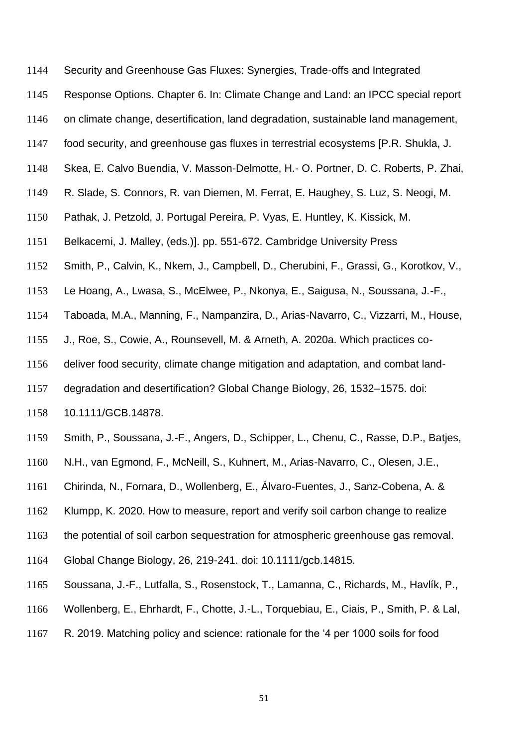- Security and Greenhouse Gas Fluxes: Synergies, Trade-offs and Integrated
- Response Options. Chapter 6. In: Climate Change and Land: an IPCC special report
- on climate change, desertification, land degradation, sustainable land management,
- food security, and greenhouse gas fluxes in terrestrial ecosystems [P.R. Shukla, J.
- Skea, E. Calvo Buendia, V. Masson-Delmotte, H.- O. Portner, D. C. Roberts, P. Zhai,
- R. Slade, S. Connors, R. van Diemen, M. Ferrat, E. Haughey, S. Luz, S. Neogi, M.
- Pathak, J. Petzold, J. Portugal Pereira, P. Vyas, E. Huntley, K. Kissick, M.
- Belkacemi, J. Malley, (eds.)]. pp. 551-672. Cambridge University Press
- Smith, P., Calvin, K., Nkem, J., Campbell, D., Cherubini, F., Grassi, G., Korotkov, V.,
- Le Hoang, A., Lwasa, S., McElwee, P., Nkonya, E., Saigusa, N., Soussana, J.-F.,
- Taboada, M.A., Manning, F., Nampanzira, D., Arias-Navarro, C., Vizzarri, M., House,
- J., Roe, S., Cowie, A., Rounsevell, M. & Arneth, A. 2020a. Which practices co-
- deliver food security, climate change mitigation and adaptation, and combat land-
- degradation and desertification? Global Change Biology, 26, 1532–1575. doi:
- 10.1111/GCB.14878.
- Smith, P., Soussana, J.-F., Angers, D., Schipper, L., Chenu, C., Rasse, D.P., Batjes,
- N.H., van Egmond, F., McNeill, S., Kuhnert, M., Arias-Navarro, C., Olesen, J.E.,
- Chirinda, N., Fornara, D., Wollenberg, E., Álvaro-Fuentes, J., Sanz-Cobena, A. &
- Klumpp, K. 2020. How to measure, report and verify soil carbon change to realize
- the potential of soil carbon sequestration for atmospheric greenhouse gas removal.
- Global Change Biology, 26, 219-241. doi: 10.1111/gcb.14815.
- Soussana, J.-F., Lutfalla, S., Rosenstock, T., Lamanna, C., Richards, M., Havlík, P.,
- Wollenberg, E., Ehrhardt, F., Chotte, J.-L., Torquebiau, E., Ciais, P., Smith, P. & Lal,
- R. 2019. Matching policy and science: rationale for the '4 per 1000 soils for food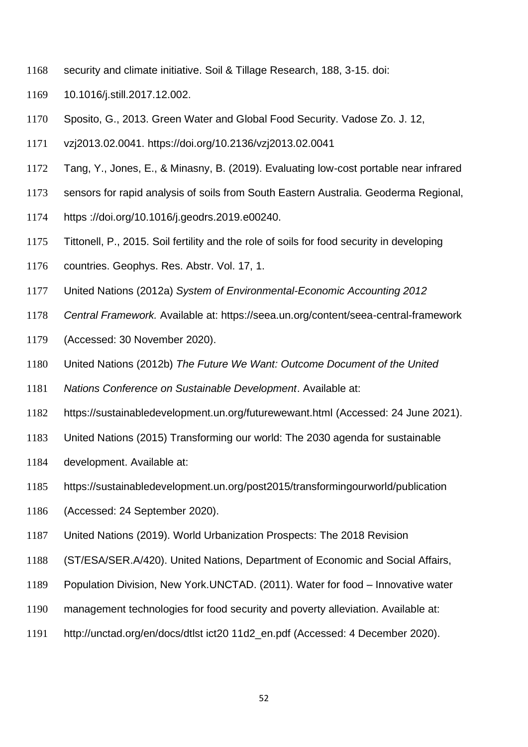- security and climate initiative. Soil & Tillage Research, 188, 3-15. doi:
- 10.1016/j.still.2017.12.002.
- Sposito, G., 2013. Green Water and Global Food Security. Vadose Zo. J. 12,
- vzj2013.02.0041. https://doi.org/10.2136/vzj2013.02.0041
- Tang, Y., Jones, E., & Minasny, B. (2019). Evaluating low-cost portable near infrared
- sensors for rapid analysis of soils from South Eastern Australia. Geoderma Regional,
- https ://doi.org/10.1016/j.geodrs.2019.e00240.
- Tittonell, P., 2015. Soil fertility and the role of soils for food security in developing
- countries. Geophys. Res. Abstr. Vol. 17, 1.
- United Nations (2012a) *System of Environmental-Economic Accounting 2012*
- *Central Framework.* Available at: https://seea.un.org/content/seea-central-framework
- (Accessed: 30 November 2020).
- United Nations (2012b) *The Future We Want: Outcome Document of the United*
- *Nations Conference on Sustainable Development*. Available at:
- https://sustainabledevelopment.un.org/futurewewant.html (Accessed: 24 June 2021).
- United Nations (2015) Transforming our world: The 2030 agenda for sustainable
- development. Available at:
- https://sustainabledevelopment.un.org/post2015/transformingourworld/publication
- (Accessed: 24 September 2020).
- United Nations (2019). World Urbanization Prospects: The 2018 Revision
- (ST/ESA/SER.A/420). United Nations, Department of Economic and Social Affairs,
- Population Division, New York.UNCTAD. (2011). Water for food Innovative water
- management technologies for food security and poverty alleviation. Available at:
- http://unctad.org/en/docs/dtlst ict20 11d2\_en.pdf (Accessed: 4 December 2020).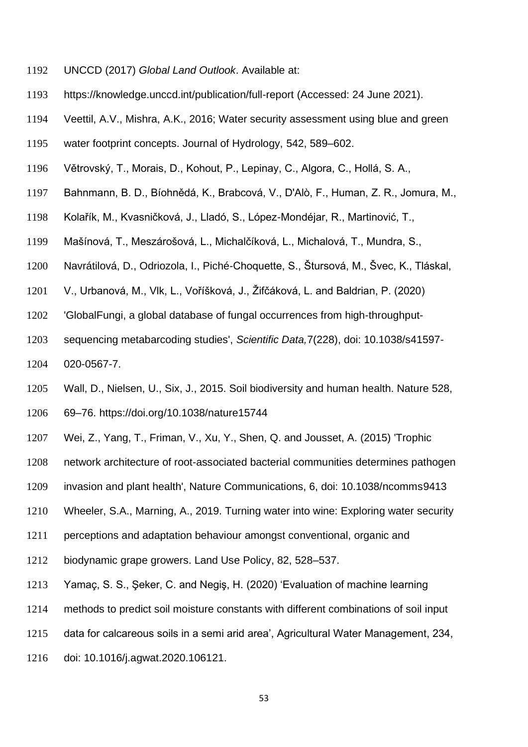- UNCCD (2017) *Global Land Outlook*. Available at:
- https://knowledge.unccd.int/publication/full-report (Accessed: 24 June 2021).
- Veettil, A.V., Mishra, A.K., 2016; Water security assessment using blue and green
- water footprint concepts. Journal of Hydrology, 542, 589–602.
- Větrovský, T., Morais, D., Kohout, P., Lepinay, C., Algora, C., Hollá, S. A.,
- Bahnmann, B. D., Bíohnědá, K., Brabcová, V., D'Alò, F., Human, Z. R., Jomura, M.,
- Kolařík, M., Kvasničková, J., Lladó, S., López-Mondéjar, R., Martinović, T.,
- Mašínová, T., Meszárošová, L., Michalčíková, L., Michalová, T., Mundra, S.,
- Navrátilová, D., Odriozola, I., Piché-Choquette, S., Štursová, M., Švec, K., Tláskal,
- V., Urbanová, M., Vlk, L., Voříšková, J., Žifčáková, L. and Baldrian, P. (2020)
- 'GlobalFungi, a global database of fungal occurrences from high-throughput-
- sequencing metabarcoding studies', *Scientific Data,*7(228), doi: 10.1038/s41597- 020-0567-7.
- Wall, D., Nielsen, U., Six, J., 2015. Soil biodiversity and human health. Nature 528,
- 69–76. https://doi.org/10.1038/nature15744
- Wei, Z., Yang, T., Friman, V., Xu, Y., Shen, Q. and Jousset, A. (2015) 'Trophic
- network architecture of root-associated bacterial communities determines pathogen
- invasion and plant health', Nature Communications, 6, doi: 10.1038/ncomms9413
- Wheeler, S.A., Marning, A., 2019. Turning water into wine: Exploring water security
- perceptions and adaptation behaviour amongst conventional, organic and
- biodynamic grape growers. Land Use Policy, 82, 528–537.
- Yamaç, S. S., Şeker, C. and Negiş, H. (2020) 'Evaluation of machine learning
- methods to predict soil moisture constants with different combinations of soil input
- data for calcareous soils in a semi arid area', Agricultural Water Management, 234,
- doi: 10.1016/j.agwat.2020.106121.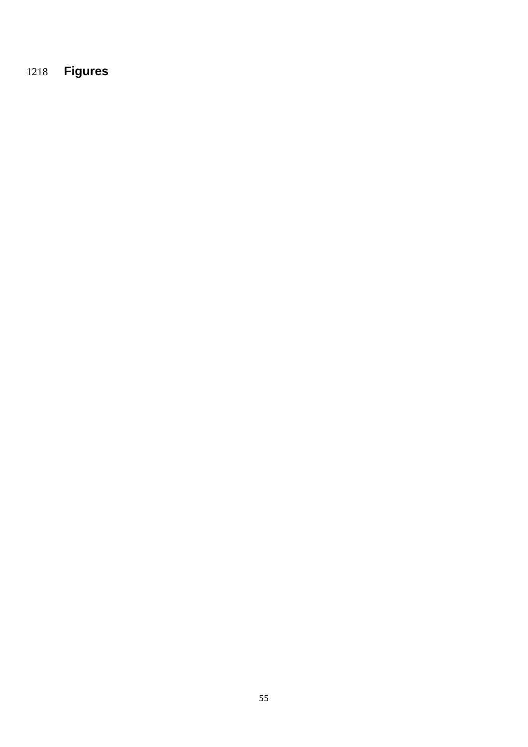# **Figures**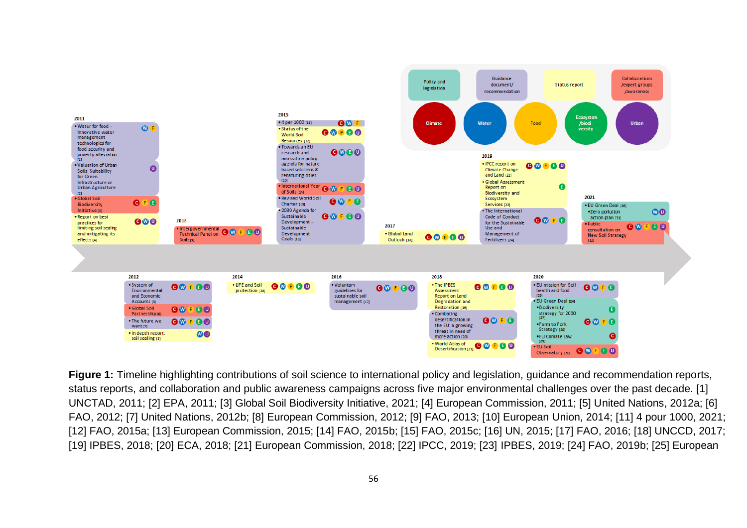

**Figure 1:** Timeline highlighting contributions of soil science to international policy and legislation, guidance and recommendation reports, status reports, and collaboration and public awareness campaigns across five major environmental challenges over the past decade. [1] UNCTAD, 2011; [2] EPA, 2011; [3] Global Soil Biodiversity Initiative, 2021; [4] European Commission, 2011; [5] United Nations, 2012a; [6] FAO, 2012; [7] United Nations, 2012b; [8] European Commission, 2012; [9] FAO, 2013; [10] European Union, 2014; [11] 4 pour 1000, 2021; [12] FAO, 2015a; [13] European Commission, 2015; [14] FAO, 2015b; [15] FAO, 2015c; [16] UN, 2015; [17] FAO, 2016; [18] UNCCD, 2017; [19] IPBES, 2018; [20] ECA, 2018; [21] European Commission, 2018; [22] IPCC, 2019; [23] IPBES, 2019; [24] FAO, 2019b; [25] European